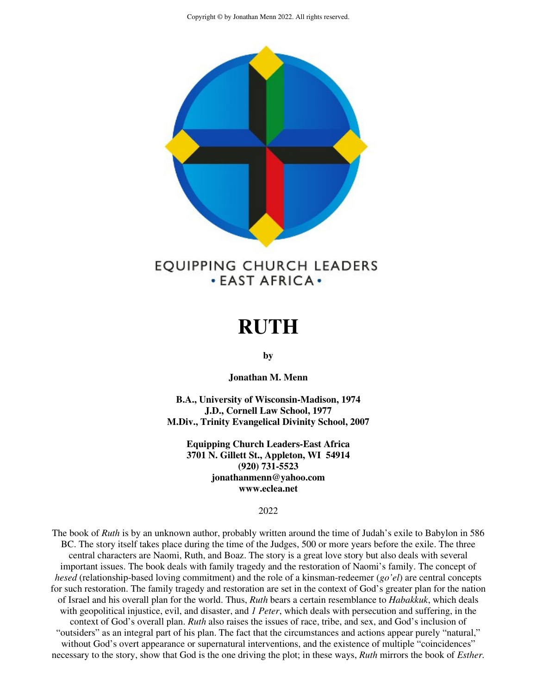

# EQUIPPING CHURCH LEADERS **. EAST AFRICA .**

# **RUTH**

**by** 

**Jonathan M. Menn** 

**B.A., University of Wisconsin-Madison, 1974 J.D., Cornell Law School, 1977 M.Div., Trinity Evangelical Divinity School, 2007** 

**Equipping Church Leaders-East Africa 3701 N. Gillett St., Appleton, WI 54914 (920) 731-5523 jonathanmenn@yahoo.com www.eclea.net** 

#### 2022

The book of *Ruth* is by an unknown author, probably written around the time of Judah's exile to Babylon in 586 BC. The story itself takes place during the time of the Judges, 500 or more years before the exile. The three central characters are Naomi, Ruth, and Boaz. The story is a great love story but also deals with several important issues. The book deals with family tragedy and the restoration of Naomi's family. The concept of *hesed* (relationship-based loving commitment) and the role of a kinsman-redeemer (*go'el*) are central concepts for such restoration. The family tragedy and restoration are set in the context of God's greater plan for the nation of Israel and his overall plan for the world. Thus, *Ruth* bears a certain resemblance to *Habakkuk*, which deals with geopolitical injustice, evil, and disaster, and *1 Peter*, which deals with persecution and suffering, in the context of God's overall plan. *Ruth* also raises the issues of race, tribe, and sex, and God's inclusion of "outsiders" as an integral part of his plan. The fact that the circumstances and actions appear purely "natural," without God's overt appearance or supernatural interventions, and the existence of multiple "coincidences" necessary to the story, show that God is the one driving the plot; in these ways, *Ruth* mirrors the book of *Esther.*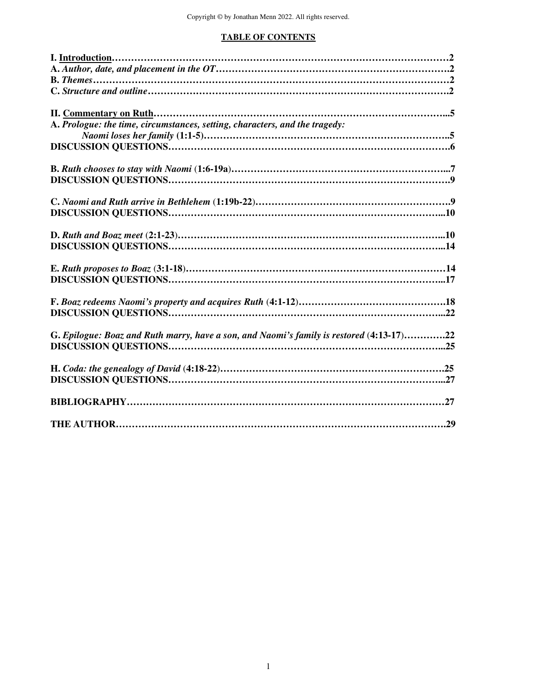## **TABLE OF CONTENTS**

| A. Prologue: the time, circumstances, setting, characters, and the tragedy:              |
|------------------------------------------------------------------------------------------|
|                                                                                          |
|                                                                                          |
|                                                                                          |
|                                                                                          |
|                                                                                          |
|                                                                                          |
|                                                                                          |
|                                                                                          |
|                                                                                          |
|                                                                                          |
|                                                                                          |
|                                                                                          |
|                                                                                          |
|                                                                                          |
|                                                                                          |
|                                                                                          |
|                                                                                          |
|                                                                                          |
| G. Epilogue: Boaz and Ruth marry, have a son, and Naomi's family is restored (4:13-17)22 |
|                                                                                          |
|                                                                                          |
|                                                                                          |
|                                                                                          |
|                                                                                          |
|                                                                                          |
|                                                                                          |
|                                                                                          |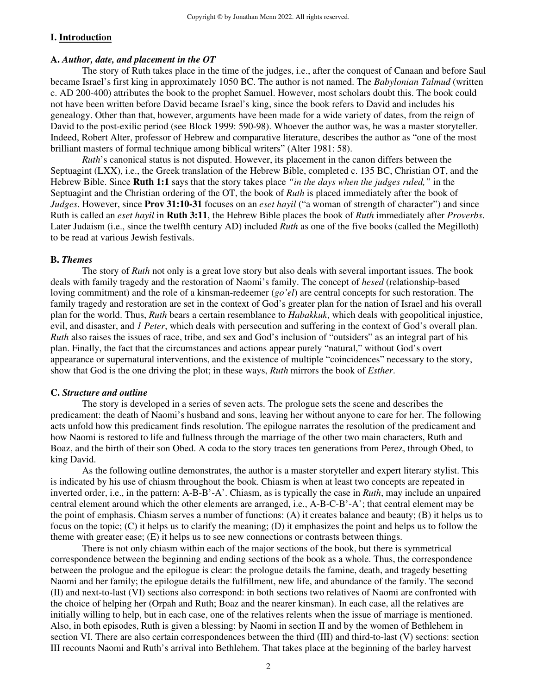#### **I. Introduction**

#### **A.** *Author, date, and placement in the OT*

 The story of Ruth takes place in the time of the judges, i.e., after the conquest of Canaan and before Saul became Israel's first king in approximately 1050 BC. The author is not named. The *Babylonian Talmud* (written c. AD 200-400) attributes the book to the prophet Samuel. However, most scholars doubt this. The book could not have been written before David became Israel's king, since the book refers to David and includes his genealogy. Other than that, however, arguments have been made for a wide variety of dates, from the reign of David to the post-exilic period (see Block 1999: 590-98). Whoever the author was, he was a master storyteller. Indeed, Robert Alter, professor of Hebrew and comparative literature, describes the author as "one of the most brilliant masters of formal technique among biblical writers" (Alter 1981: 58).

*Ruth*'s canonical status is not disputed. However, its placement in the canon differs between the Septuagint (LXX), i.e., the Greek translation of the Hebrew Bible, completed c. 135 BC, Christian OT, and the Hebrew Bible. Since **Ruth 1:1** says that the story takes place *"in the days when the judges ruled,"* in the Septuagint and the Christian ordering of the OT, the book of *Ruth* is placed immediately after the book of *Judges*. However, since **Prov 31:10-31** focuses on an *eset hayil* ("a woman of strength of character") and since Ruth is called an *eset hayil* in **Ruth 3:11**, the Hebrew Bible places the book of *Ruth* immediately after *Proverbs*. Later Judaism (i.e., since the twelfth century AD) included *Ruth* as one of the five books (called the Megilloth) to be read at various Jewish festivals.

#### **B.** *Themes*

 The story of *Ruth* not only is a great love story but also deals with several important issues. The book deals with family tragedy and the restoration of Naomi's family. The concept of *hesed* (relationship-based loving commitment) and the role of a kinsman-redeemer (*go'el*) are central concepts for such restoration. The family tragedy and restoration are set in the context of God's greater plan for the nation of Israel and his overall plan for the world. Thus, *Ruth* bears a certain resemblance to *Habakkuk*, which deals with geopolitical injustice, evil, and disaster, and *1 Peter*, which deals with persecution and suffering in the context of God's overall plan. *Ruth* also raises the issues of race, tribe, and sex and God's inclusion of "outsiders" as an integral part of his plan. Finally, the fact that the circumstances and actions appear purely "natural," without God's overt appearance or supernatural interventions, and the existence of multiple "coincidences" necessary to the story, show that God is the one driving the plot; in these ways, *Ruth* mirrors the book of *Esther*.

#### **C.** *Structure and outline*

 The story is developed in a series of seven acts. The prologue sets the scene and describes the predicament: the death of Naomi's husband and sons, leaving her without anyone to care for her. The following acts unfold how this predicament finds resolution. The epilogue narrates the resolution of the predicament and how Naomi is restored to life and fullness through the marriage of the other two main characters, Ruth and Boaz, and the birth of their son Obed. A coda to the story traces ten generations from Perez, through Obed, to king David.

 As the following outline demonstrates, the author is a master storyteller and expert literary stylist. This is indicated by his use of chiasm throughout the book. Chiasm is when at least two concepts are repeated in inverted order, i.e., in the pattern: A-B-B'-A'. Chiasm, as is typically the case in *Ruth*, may include an unpaired central element around which the other elements are arranged, i.e., A-B-C-B'-A'; that central element may be the point of emphasis. Chiasm serves a number of functions: (A) it creates balance and beauty; (B) it helps us to focus on the topic; (C) it helps us to clarify the meaning; (D) it emphasizes the point and helps us to follow the theme with greater ease; (E) it helps us to see new connections or contrasts between things.

 There is not only chiasm within each of the major sections of the book, but there is symmetrical correspondence between the beginning and ending sections of the book as a whole. Thus, the correspondence between the prologue and the epilogue is clear: the prologue details the famine, death, and tragedy besetting Naomi and her family; the epilogue details the fulfillment, new life, and abundance of the family. The second (II) and next-to-last (VI) sections also correspond: in both sections two relatives of Naomi are confronted with the choice of helping her (Orpah and Ruth; Boaz and the nearer kinsman). In each case, all the relatives are initially willing to help, but in each case, one of the relatives relents when the issue of marriage is mentioned. Also, in both episodes, Ruth is given a blessing: by Naomi in section II and by the women of Bethlehem in section VI. There are also certain correspondences between the third (III) and third-to-last (V) sections: section III recounts Naomi and Ruth's arrival into Bethlehem. That takes place at the beginning of the barley harvest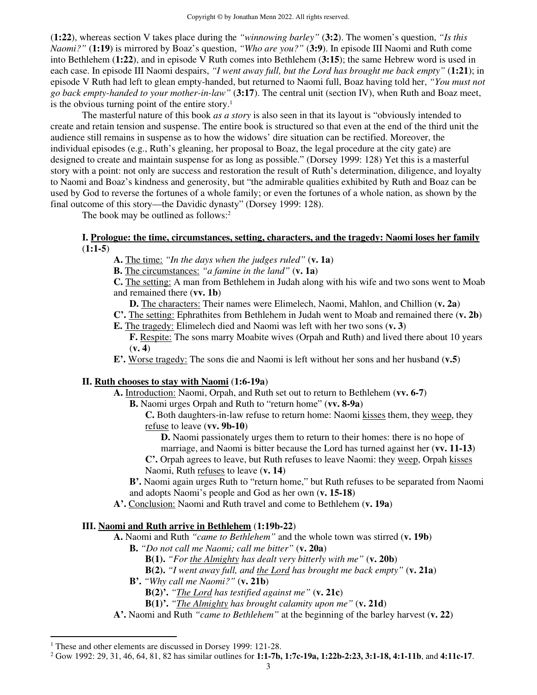(**1:22**), whereas section V takes place during the *"winnowing barley"* (**3:2**). The women's question, *"Is this Naomi?"* (**1:19**) is mirrored by Boaz's question, *"Who are you?"* (**3:9**). In episode III Naomi and Ruth come into Bethlehem (**1:22**), and in episode V Ruth comes into Bethlehem (**3:15**); the same Hebrew word is used in each case. In episode III Naomi despairs, *"I went away full, but the Lord has brought me back empty"* (**1:21**); in episode V Ruth had left to glean empty-handed, but returned to Naomi full, Boaz having told her, *"You must not go back empty-handed to your mother-in-law"* (**3:17**). The central unit (section IV), when Ruth and Boaz meet, is the obvious turning point of the entire story.<sup>1</sup>

 The masterful nature of this book *as a story* is also seen in that its layout is "obviously intended to create and retain tension and suspense. The entire book is structured so that even at the end of the third unit the audience still remains in suspense as to how the widows' dire situation can be rectified. Moreover, the individual episodes (e.g., Ruth's gleaning, her proposal to Boaz, the legal procedure at the city gate) are designed to create and maintain suspense for as long as possible." (Dorsey 1999: 128) Yet this is a masterful story with a point: not only are success and restoration the result of Ruth's determination, diligence, and loyalty to Naomi and Boaz's kindness and generosity, but "the admirable qualities exhibited by Ruth and Boaz can be used by God to reverse the fortunes of a whole family; or even the fortunes of a whole nation, as shown by the final outcome of this story—the Davidic dynasty" (Dorsey 1999: 128).

The book may be outlined as follows:<sup>2</sup>

#### **I. Prologue: the time, circumstances, setting, characters, and the tragedy: Naomi loses her family**  (**1:1-5**)

**A.** The time: *"In the days when the judges ruled"* (**v. 1a**)

**B.** The circumstances: *"a famine in the land"* (**v. 1a**)

**C.** The setting: A man from Bethlehem in Judah along with his wife and two sons went to Moab and remained there (**vv. 1b**)

**D.** The characters: Their names were Elimelech, Naomi, Mahlon, and Chillion (**v. 2a**)

**C'.** The setting: Ephrathites from Bethlehem in Judah went to Moab and remained there (**v. 2b**) **E.** The tragedy: Elimelech died and Naomi was left with her two sons (**v. 3**)

- **F.** Respite: The sons marry Moabite wives (Orpah and Ruth) and lived there about 10 years (**v. 4**)
- **E'.** Worse tragedy: The sons die and Naomi is left without her sons and her husband (**v.5**)

#### **II. Ruth chooses to stay with Naomi** (**1:6-19a**)

**A.** Introduction: Naomi, Orpah, and Ruth set out to return to Bethlehem (**vv. 6-7**)

- **B.** Naomi urges Orpah and Ruth to "return home" (**vv. 8-9a**)
	- **C.** Both daughters-in-law refuse to return home: Naomi kisses them, they weep, they refuse to leave (**vv. 9b-10**)

**D.** Naomi passionately urges them to return to their homes: there is no hope of marriage, and Naomi is bitter because the Lord has turned against her (**vv. 11-13**)

**C'.** Orpah agrees to leave, but Ruth refuses to leave Naomi: they weep, Orpah kisses Naomi, Ruth refuses to leave (**v. 14**)

**B'.** Naomi again urges Ruth to "return home," but Ruth refuses to be separated from Naomi and adopts Naomi's people and God as her own (**v. 15-18**)

**A'.** Conclusion: Naomi and Ruth travel and come to Bethlehem (**v. 19a**)

## **III. Naomi and Ruth arrive in Bethlehem** (**1:19b-22**)

**A.** Naomi and Ruth *"came to Bethlehem"* and the whole town was stirred (**v. 19b**)

- **B.** *"Do not call me Naomi; call me bitter"* (**v. 20a**)
	- **B(1).** *"For the Almighty has dealt very bitterly with me"* (**v. 20b**)
	- **B(2).** *"I went away full, and the Lord has brought me back empty"* (**v. 21a**)

**B'.** *"Why call me Naomi?"* (**v. 21b**)

- **B(2)'.** *"The Lord has testified against me"* (**v. 21c**)
- **B(1)'.** *"The Almighty has brought calamity upon me"* (**v. 21d**)
- **A'.** Naomi and Ruth *"came to Bethlehem"* at the beginning of the barley harvest (**v. 22**)

<sup>&</sup>lt;sup>1</sup> These and other elements are discussed in Dorsey 1999: 121-28.

<sup>2</sup> Gow 1992: 29, 31, 46, 64, 81, 82 has similar outlines for **1:1-7b, 1:7c-19a, 1:22b-2:23, 3:1-18, 4:1-11b**, and **4:11c-17**.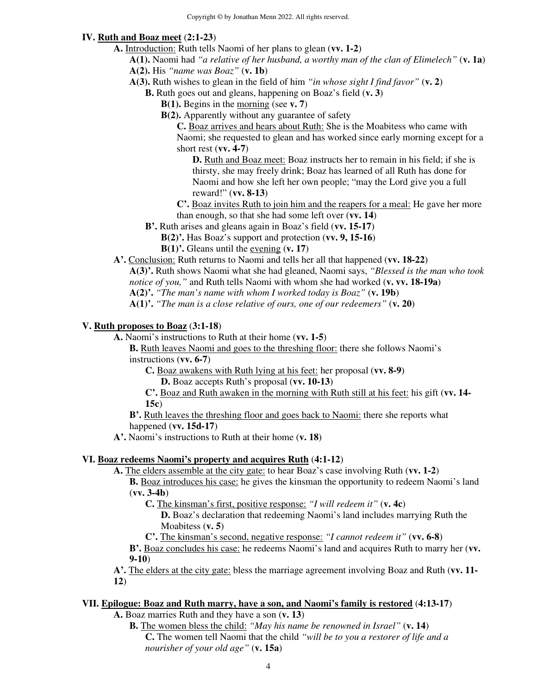## **IV. Ruth and Boaz meet** (**2:1-23**)

- **A.** Introduction: Ruth tells Naomi of her plans to glean (**vv. 1-2**)
	- **A(1).** Naomi had *"a relative of her husband, a worthy man of the clan of Elimelech"* (**v. 1a**)
	- **A(2).** His *"name was Boaz"* (**v. 1b**)
	- **A(3).** Ruth wishes to glean in the field of him *"in whose sight I find favor"* (**v. 2**)

**B.** Ruth goes out and gleans, happening on Boaz's field (**v. 3**)

- **B(1).** Begins in the morning (see **v. 7**)
- **B(2).** Apparently without any guarantee of safety

**C.** Boaz arrives and hears about Ruth: She is the Moabitess who came with Naomi; she requested to glean and has worked since early morning except for a short rest (**vv. 4-7**)

**D.** Ruth and Boaz meet: Boaz instructs her to remain in his field; if she is thirsty, she may freely drink; Boaz has learned of all Ruth has done for Naomi and how she left her own people; "may the Lord give you a full reward!" (**vv. 8-13**)

**C'.** Boaz invites Ruth to join him and the reapers for a meal: He gave her more than enough, so that she had some left over (**vv. 14**)

- **B'.** Ruth arises and gleans again in Boaz's field (**vv. 15-17**)
	- **B(2)'.** Has Boaz's support and protection (**vv. 9, 15-16**)
	- **B(1)'.** Gleans until the evening (**v. 17**)
- **A'.** Conclusion: Ruth returns to Naomi and tells her all that happened (**vv. 18-22**)

**A(3)'.** Ruth shows Naomi what she had gleaned, Naomi says, *"Blessed is the man who took notice of you,"* and Ruth tells Naomi with whom she had worked (**v. vv. 18-19a**)

**A(2)'.** *"The man's name with whom I worked today is Boaz"* (**v. 19b**)

**A(1)'.** *"The man is a close relative of ours, one of our redeemers"* (**v. 20**)

## **V. Ruth proposes to Boaz** (**3:1-18**)

**A.** Naomi's instructions to Ruth at their home (**vv. 1-5**)

**B.** Ruth leaves Naomi and goes to the threshing floor: there she follows Naomi's instructions (**vv. 6-7**)

**C.** Boaz awakens with Ruth lying at his feet: her proposal (**vv. 8-9**)

**D.** Boaz accepts Ruth's proposal (**vv. 10-13**)

**C'.** Boaz and Ruth awaken in the morning with Ruth still at his feet: his gift (**vv. 14- 15c**)

**B'.** Ruth leaves the threshing floor and goes back to Naomi: there she reports what happened (**vv. 15d-17**)

**A'.** Naomi's instructions to Ruth at their home (**v. 18**)

## **VI. Boaz redeems Naomi's property and acquires Ruth** (**4:1-12**)

**A.** The elders assemble at the city gate: to hear Boaz's case involving Ruth (**vv. 1-2**)

**B.** Boaz introduces his case: he gives the kinsman the opportunity to redeem Naomi's land (**vv. 3-4b**)

**C.** The kinsman's first, positive response: *"I will redeem it"* (**v. 4c**)

**D.** Boaz's declaration that redeeming Naomi's land includes marrying Ruth the Moabitess (**v. 5**)

**C'.** The kinsman's second, negative response: *"I cannot redeem it"* (**vv. 6-8**)

**B'.** Boaz concludes his case: he redeems Naomi's land and acquires Ruth to marry her (**vv. 9-10**)

**A'.** The elders at the city gate: bless the marriage agreement involving Boaz and Ruth (**vv. 11- 12**)

## **VII. Epilogue: Boaz and Ruth marry, have a son, and Naomi's family is restored** (**4:13-17**)

- **A.** Boaz marries Ruth and they have a son (**v. 13**)
	- **B.** The women bless the child: *"May his name be renowned in Israel"* (**v. 14**) **C.** The women tell Naomi that the child *"will be to you a restorer of life and a nourisher of your old age"* (**v. 15a**)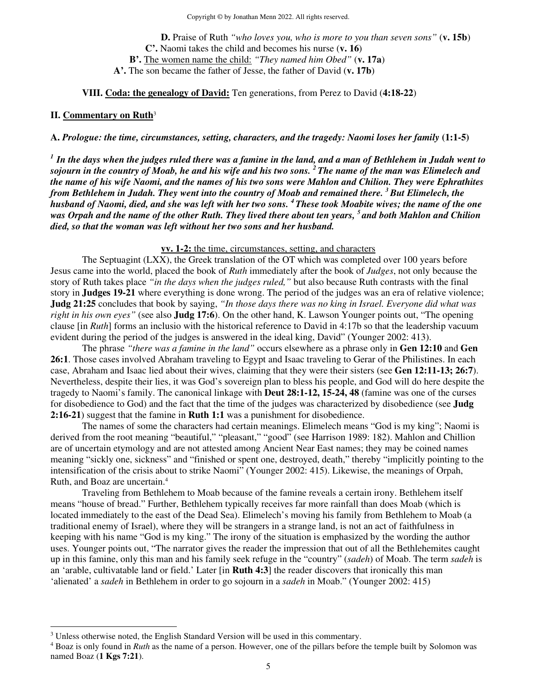**D.** Praise of Ruth *"who loves you, who is more to you than seven sons"* (**v. 15b**) **C'.** Naomi takes the child and becomes his nurse (**v. 16**) **B'.** The women name the child: *"They named him Obed"* (**v. 17a**) **A'.** The son became the father of Jesse, the father of David (**v. 17b**)

#### **VIII. Coda: the genealogy of David:** Ten generations, from Perez to David (**4:18-22**)

#### **II. Commentary on Ruth**<sup>3</sup>

**A.** *Prologue: the time, circumstances, setting, characters, and the tragedy: Naomi loses her family* **(1:1-5)**

*1 In the days when the judges ruled there was a famine in the land, and a man of Bethlehem in Judah went to sojourn in the country of Moab, he and his wife and his two sons. <sup>2</sup>The name of the man was Elimelech and the name of his wife Naomi, and the names of his two sons were Mahlon and Chilion. They were Ephrathites from Bethlehem in Judah. They went into the country of Moab and remained there. <sup>3</sup>But Elimelech, the husband of Naomi, died, and she was left with her two sons. <sup>4</sup>These took Moabite wives; the name of the one was Orpah and the name of the other Ruth. They lived there about ten years, <sup>5</sup>and both Mahlon and Chilion died, so that the woman was left without her two sons and her husband.* 

#### **vv. 1-2:** the time, circumstances, setting, and characters

 The Septuagint (LXX), the Greek translation of the OT which was completed over 100 years before Jesus came into the world, placed the book of *Ruth* immediately after the book of *Judges*, not only because the story of Ruth takes place *"in the days when the judges ruled,"* but also because Ruth contrasts with the final story in **Judges 19-21** where everything is done wrong. The period of the judges was an era of relative violence; **Judg 21:25** concludes that book by saying, *"In those days there was no king in Israel. Everyone did what was right in his own eyes"* (see also **Judg 17:6**). On the other hand, K. Lawson Younger points out, "The opening clause [in *Ruth*] forms an inclusio with the historical reference to David in 4:17b so that the leadership vacuum evident during the period of the judges is answered in the ideal king, David" (Younger 2002: 413).

 The phrase *"there was a famine in the land"* occurs elsewhere as a phrase only in **Gen 12:10** and **Gen 26:1**. Those cases involved Abraham traveling to Egypt and Isaac traveling to Gerar of the Philistines. In each case, Abraham and Isaac lied about their wives, claiming that they were their sisters (see **Gen 12:11-13; 26:7**). Nevertheless, despite their lies, it was God's sovereign plan to bless his people, and God will do here despite the tragedy to Naomi's family. The canonical linkage with **Deut 28:1-12, 15-24, 48** (famine was one of the curses for disobedience to God) and the fact that the time of the judges was characterized by disobedience (see **Judg 2:16-21**) suggest that the famine in **Ruth 1:1** was a punishment for disobedience.

 The names of some the characters had certain meanings. Elimelech means "God is my king"; Naomi is derived from the root meaning "beautiful," "pleasant," "good" (see Harrison 1989: 182). Mahlon and Chillion are of uncertain etymology and are not attested among Ancient Near East names; they may be coined names meaning "sickly one, sickness" and "finished or spent one, destroyed, death," thereby "implicitly pointing to the intensification of the crisis about to strike Naomi" (Younger 2002: 415). Likewise, the meanings of Orpah, Ruth, and Boaz are uncertain.<sup>4</sup>

Traveling from Bethlehem to Moab because of the famine reveals a certain irony. Bethlehem itself means "house of bread." Further, Bethlehem typically receives far more rainfall than does Moab (which is located immediately to the east of the Dead Sea). Elimelech's moving his family from Bethlehem to Moab (a traditional enemy of Israel), where they will be strangers in a strange land, is not an act of faithfulness in keeping with his name "God is my king." The irony of the situation is emphasized by the wording the author uses. Younger points out, "The narrator gives the reader the impression that out of all the Bethlehemites caught up in this famine, only this man and his family seek refuge in the "country" (*sadeh*) of Moab. The term *sadeh* is an 'arable, cultivatable land or field.' Later [in **Ruth 4:3**] the reader discovers that ironically this man 'alienated' a *sadeh* in Bethlehem in order to go sojourn in a *sadeh* in Moab." (Younger 2002: 415)

<sup>&</sup>lt;sup>3</sup> Unless otherwise noted, the English Standard Version will be used in this commentary.

<sup>4</sup> Boaz is only found in *Ruth* as the name of a person. However, one of the pillars before the temple built by Solomon was named Boaz (**1 Kgs 7:21**).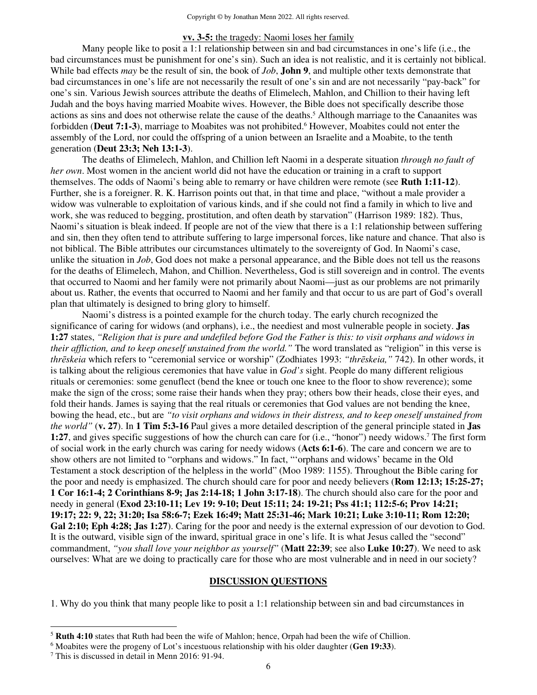#### **vv. 3-5:** the tragedy: Naomi loses her family

Many people like to posit a 1:1 relationship between sin and bad circumstances in one's life (i.e., the bad circumstances must be punishment for one's sin). Such an idea is not realistic, and it is certainly not biblical. While bad effects *may* be the result of sin, the book of *Job*, **John 9**, and multiple other texts demonstrate that bad circumstances in one's life are not necessarily the result of one's sin and are not necessarily "pay-back" for one's sin. Various Jewish sources attribute the deaths of Elimelech, Mahlon, and Chillion to their having left Judah and the boys having married Moabite wives. However, the Bible does not specifically describe those actions as sins and does not otherwise relate the cause of the deaths.<sup>5</sup> Although marriage to the Canaanites was forbidden (Deut 7:1-3), marriage to Moabites was not prohibited.<sup>6</sup> However, Moabites could not enter the assembly of the Lord, nor could the offspring of a union between an Israelite and a Moabite, to the tenth generation (**Deut 23:3; Neh 13:1-3**).

The deaths of Elimelech, Mahlon, and Chillion left Naomi in a desperate situation *through no fault of her own*. Most women in the ancient world did not have the education or training in a craft to support themselves. The odds of Naomi's being able to remarry or have children were remote (see **Ruth 1:11-12**). Further, she is a foreigner. R. K. Harrison points out that, in that time and place, "without a male provider a widow was vulnerable to exploitation of various kinds, and if she could not find a family in which to live and work, she was reduced to begging, prostitution, and often death by starvation" (Harrison 1989: 182). Thus, Naomi's situation is bleak indeed. If people are not of the view that there is a 1:1 relationship between suffering and sin, then they often tend to attribute suffering to large impersonal forces, like nature and chance. That also is not biblical. The Bible attributes our circumstances ultimately to the sovereignty of God. In Naomi's case, unlike the situation in *Job*, God does not make a personal appearance, and the Bible does not tell us the reasons for the deaths of Elimelech, Mahon, and Chillion. Nevertheless, God is still sovereign and in control. The events that occurred to Naomi and her family were not primarily about Naomi—just as our problems are not primarily about us. Rather, the events that occurred to Naomi and her family and that occur to us are part of God's overall plan that ultimately is designed to bring glory to himself.

Naomi's distress is a pointed example for the church today. The early church recognized the significance of caring for widows (and orphans), i.e., the neediest and most vulnerable people in society. **Jas 1:27** states, *"Religion that is pure and undefiled before God the Father is this: to visit orphans and widows in their affliction, and to keep oneself unstained from the world."* The word translated as "religion" in this verse is *thrēskeia* which refers to "ceremonial service or worship" (Zodhiates 1993: *"thrēskeia,"* 742). In other words, it is talking about the religious ceremonies that have value in *God's* sight. People do many different religious rituals or ceremonies: some genuflect (bend the knee or touch one knee to the floor to show reverence); some make the sign of the cross; some raise their hands when they pray; others bow their heads, close their eyes, and fold their hands. James is saying that the real rituals or ceremonies that God values are not bending the knee, bowing the head, etc., but are *"to visit orphans and widows in their distress, and to keep oneself unstained from the world"* (**v. 27**). In **1 Tim 5:3-16** Paul gives a more detailed description of the general principle stated in **Jas 1:27**, and gives specific suggestions of how the church can care for (i.e., "honor") needy widows.<sup>7</sup> The first form of social work in the early church was caring for needy widows (**Acts 6:1-6**). The care and concern we are to show others are not limited to "orphans and widows." In fact, "'orphans and widows' became in the Old Testament a stock description of the helpless in the world" (Moo 1989: 1155). Throughout the Bible caring for the poor and needy is emphasized. The church should care for poor and needy believers (**Rom 12:13; 15:25-27; 1 Cor 16:1-4; 2 Corinthians 8-9; Jas 2:14-18; 1 John 3:17-18**). The church should also care for the poor and needy in general (**Exod 23:10-11; Lev 19: 9-10; Deut 15:11; 24: 19-21; Pss 41:1; 112:5-6; Prov 14:21; 19:17; 22: 9, 22; 31:20; Isa 58:6-7; Ezek 16:49; Matt 25:31-46; Mark 10:21; Luke 3:10-11; Rom 12:20;**  Gal 2:10; Eph 4:28; Jas 1:27). Caring for the poor and needy is the external expression of our devotion to God. It is the outward, visible sign of the inward, spiritual grace in one's life. It is what Jesus called the "second" commandment, *"you shall love your neighbor as yourself"* (**Matt 22:39**; see also **Luke 10:27**). We need to ask ourselves: What are we doing to practically care for those who are most vulnerable and in need in our society?

#### **DISCUSSION QUESTIONS**

1. Why do you think that many people like to posit a 1:1 relationship between sin and bad circumstances in

<sup>5</sup> **Ruth 4:10** states that Ruth had been the wife of Mahlon; hence, Orpah had been the wife of Chillion.

<sup>6</sup> Moabites were the progeny of Lot's incestuous relationship with his older daughter (**Gen 19:33**).

<sup>7</sup> This is discussed in detail in Menn 2016: 91-94.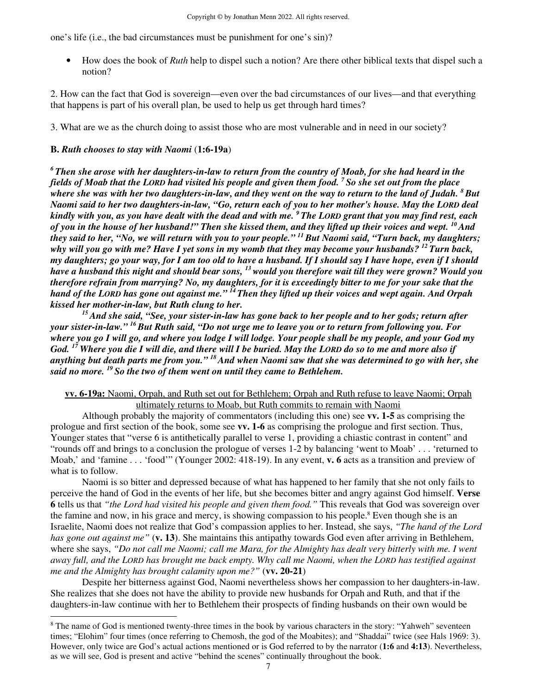one's life (i.e., the bad circumstances must be punishment for one's sin)?

• How does the book of *Ruth* help to dispel such a notion? Are there other biblical texts that dispel such a notion?

2. How can the fact that God is sovereign—even over the bad circumstances of our lives—and that everything that happens is part of his overall plan, be used to help us get through hard times?

3. What are we as the church doing to assist those who are most vulnerable and in need in our society?

## **B.** *Ruth chooses to stay with Naomi* (**1:6-19a**)

*<sup>6</sup>Then she arose with her daughters-in-law to return from the country of Moab, for she had heard in the fields of Moab that the LORD had visited his people and given them food. <sup>7</sup>So she set out from the place where she was with her two daughters-in-law, and they went on the way to return to the land of Judah. <sup>8</sup>But Naomi said to her two daughters-in-law, "Go, return each of you to her mother's house. May the LORD deal kindly with you, as you have dealt with the dead and with me. <sup>9</sup>The LORD grant that you may find rest, each of you in the house of her husband!" Then she kissed them, and they lifted up their voices and wept. <sup>10</sup>And they said to her, "No, we will return with you to your people." <sup>11</sup>But Naomi said, "Turn back, my daughters; why will you go with me? Have I yet sons in my womb that they may become your husbands? <sup>12</sup>Turn back, my daughters; go your way, for I am too old to have a husband. If I should say I have hope, even if I should have a husband this night and should bear sons, <sup>13</sup>would you therefore wait till they were grown? Would you therefore refrain from marrying? No, my daughters, for it is exceedingly bitter to me for your sake that the hand of the LORD has gone out against me." <sup>14</sup>Then they lifted up their voices and wept again. And Orpah kissed her mother-in-law, but Ruth clung to her.* 

*<sup>15</sup>And she said, "See, your sister-in-law has gone back to her people and to her gods; return after your sister-in-law." <sup>16</sup>But Ruth said, "Do not urge me to leave you or to return from following you. For where you go I will go, and where you lodge I will lodge. Your people shall be my people, and your God my God. <sup>17</sup>Where you die I will die, and there will I be buried. May the LORD do so to me and more also if anything but death parts me from you." <sup>18</sup>And when Naomi saw that she was determined to go with her, she said no more. <sup>19</sup>So the two of them went on until they came to Bethlehem.* 

#### **vv. 6-19a:** Naomi, Orpah, and Ruth set out for Bethlehem; Orpah and Ruth refuse to leave Naomi; Orpah ultimately returns to Moab, but Ruth commits to remain with Naomi

 Although probably the majority of commentators (including this one) see **vv. 1-5** as comprising the prologue and first section of the book, some see **vv. 1-6** as comprising the prologue and first section. Thus, Younger states that "verse 6 is antithetically parallel to verse 1, providing a chiastic contrast in content" and "rounds off and brings to a conclusion the prologue of verses 1-2 by balancing 'went to Moab' . . . 'returned to Moab,' and 'famine . . . 'food'" (Younger 2002: 418-19). In any event, **v. 6** acts as a transition and preview of what is to follow.

 Naomi is so bitter and depressed because of what has happened to her family that she not only fails to perceive the hand of God in the events of her life, but she becomes bitter and angry against God himself. **Verse 6** tells us that *"the Lord had visited his people and given them food."* This reveals that God was sovereign over the famine and now, in his grace and mercy, is showing compassion to his people.<sup>8</sup> Even though she is an Israelite, Naomi does not realize that God's compassion applies to her. Instead, she says, *"The hand of the Lord has gone out against me"* (**v. 13**). She maintains this antipathy towards God even after arriving in Bethlehem, where she says, *"Do not call me Naomi; call me Mara, for the Almighty has dealt very bitterly with me. I went away full, and the LORD has brought me back empty. Why call me Naomi, when the LORD has testified against me and the Almighty has brought calamity upon me?"* (**vv. 20-21**)

 Despite her bitterness against God, Naomi nevertheless shows her compassion to her daughters-in-law. She realizes that she does not have the ability to provide new husbands for Orpah and Ruth, and that if the daughters-in-law continue with her to Bethlehem their prospects of finding husbands on their own would be

<sup>&</sup>lt;sup>8</sup> The name of God is mentioned twenty-three times in the book by various characters in the story: "Yahweh" seventeen times; "Elohim" four times (once referring to Chemosh, the god of the Moabites); and "Shaddai" twice (see Hals 1969: 3). However, only twice are God's actual actions mentioned or is God referred to by the narrator (**1:6** and **4:13**). Nevertheless, as we will see, God is present and active "behind the scenes" continually throughout the book.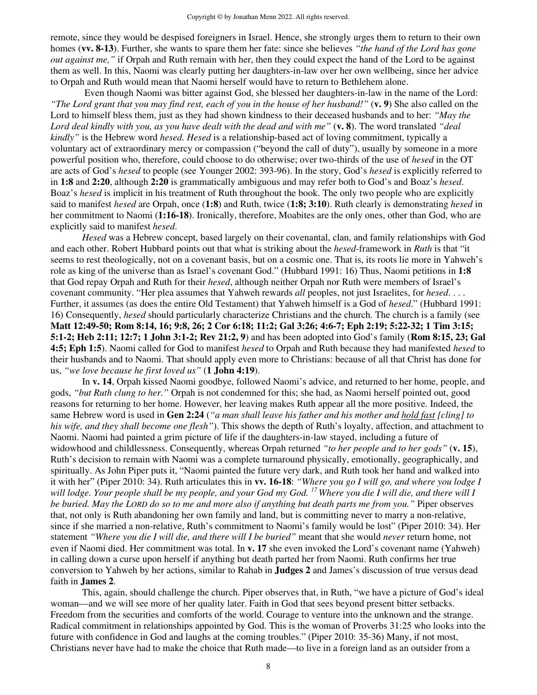remote, since they would be despised foreigners in Israel. Hence, she strongly urges them to return to their own homes (**vv. 8-13**). Further, she wants to spare them her fate: since she believes *"the hand of the Lord has gone out against me,"* if Orpah and Ruth remain with her, then they could expect the hand of the Lord to be against them as well. In this, Naomi was clearly putting her daughters-in-law over her own wellbeing, since her advice to Orpah and Ruth would mean that Naomi herself would have to return to Bethlehem alone.

 Even though Naomi was bitter against God, she blessed her daughters-in-law in the name of the Lord: *"The Lord grant that you may find rest, each of you in the house of her husband!"* (**v. 9**) She also called on the Lord to himself bless them, just as they had shown kindness to their deceased husbands and to her: *"May the Lord deal kindly with you, as you have dealt with the dead and with me"* (**v. 8**). The word translated *"deal kindly"* is the Hebrew word *hesed. Hesed* is a relationship-based act of loving commitment, typically a voluntary act of extraordinary mercy or compassion ("beyond the call of duty"), usually by someone in a more powerful position who, therefore, could choose to do otherwise; over two-thirds of the use of *hesed* in the OT are acts of God's *hesed* to people (see Younger 2002: 393-96). In the story, God's *hesed* is explicitly referred to in **1:8** and **2:20**, although **2:20** is grammatically ambiguous and may refer both to God's and Boaz's *hesed*. Boaz's *hesed* is implicit in his treatment of Ruth throughout the book. The only two people who are explicitly said to manifest *hesed* are Orpah, once (**1:8**) and Ruth, twice (**1:8; 3:10**). Ruth clearly is demonstrating *hesed* in her commitment to Naomi (**1:16-18**). Ironically, therefore, Moabites are the only ones, other than God, who are explicitly said to manifest *hesed*.

*Hesed* was a Hebrew concept, based largely on their covenantal, clan, and family relationships with God and each other. Robert Hubbard points out that what is striking about the *hesed*-framework in *Ruth* is that "it seems to rest theologically, not on a covenant basis, but on a cosmic one. That is, its roots lie more in Yahweh's role as king of the universe than as Israel's covenant God." (Hubbard 1991: 16) Thus, Naomi petitions in **1:8**  that God repay Orpah and Ruth for their *hesed*, although neither Orpah nor Ruth were members of Israel's covenant community. "Her plea assumes that Yahweh rewards *all* peoples, not just Israelites, for *hesed*. . . . Further, it assumes (as does the entire Old Testament) that Yahweh himself is a God of *hesed*." (Hubbard 1991: 16) Consequently, *hesed* should particularly characterize Christians and the church. The church is a family (see **Matt 12:49-50; Rom 8:14, 16; 9:8, 26; 2 Cor 6:18; 11:2; Gal 3:26; 4:6-7; Eph 2:19; 5:22-32; 1 Tim 3:15; 5:1-2; Heb 2:11; 12:7; 1 John 3:1-2; Rev 21:2, 9**) and has been adopted into God's family (**Rom 8:15, 23; Gal 4:5; Eph 1:5**). Naomi called for God to manifest *hesed* to Orpah and Ruth because they had manifested *hesed* to their husbands and to Naomi. That should apply even more to Christians: because of all that Christ has done for us, *"we love because he first loved us"* (**1 John 4:19**).

In **v. 14**, Orpah kissed Naomi goodbye, followed Naomi's advice, and returned to her home, people, and gods, *"but Ruth clung to her."* Orpah is not condemned for this; she had, as Naomi herself pointed out, good reasons for returning to her home. However, her leaving makes Ruth appear all the more positive. Indeed, the same Hebrew word is used in **Gen 2:24** (*"a man shall leave his father and his mother and hold fast [cling] to his wife, and they shall become one flesh"*). This shows the depth of Ruth's loyalty, affection, and attachment to Naomi. Naomi had painted a grim picture of life if the daughters-in-law stayed, including a future of widowhood and childlessness. Consequently, whereas Orpah returned *"to her people and to her gods"* (**v. 15**), Ruth's decision to remain with Naomi was a complete turnaround physically, emotionally, geographically, and spiritually. As John Piper puts it, "Naomi painted the future very dark, and Ruth took her hand and walked into it with her" (Piper 2010: 34). Ruth articulates this in **vv. 16-18**: *"Where you go I will go, and where you lodge I will lodge. Your people shall be my people, and your God my God. <sup>17</sup>Where you die I will die, and there will I be buried. May the LORD do so to me and more also if anything but death parts me from you."* Piper observes that, not only is Ruth abandoning her own family and land, but is committing never to marry a non-relative, since if she married a non-relative, Ruth's commitment to Naomi's family would be lost" (Piper 2010: 34). Her statement *"Where you die I will die, and there will I be buried"* meant that she would *never* return home, not even if Naomi died. Her commitment was total. In **v. 17** she even invoked the Lord's covenant name (Yahweh) in calling down a curse upon herself if anything but death parted her from Naomi. Ruth confirms her true conversion to Yahweh by her actions, similar to Rahab in **Judges 2** and James's discussion of true versus dead faith in **James 2**.

This, again, should challenge the church. Piper observes that, in Ruth, "we have a picture of God's ideal woman—and we will see more of her quality later. Faith in God that sees beyond present bitter setbacks. Freedom from the securities and comforts of the world. Courage to venture into the unknown and the strange. Radical commitment in relationships appointed by God. This is the woman of Proverbs 31:25 who looks into the future with confidence in God and laughs at the coming troubles." (Piper 2010: 35-36) Many, if not most, Christians never have had to make the choice that Ruth made—to live in a foreign land as an outsider from a

8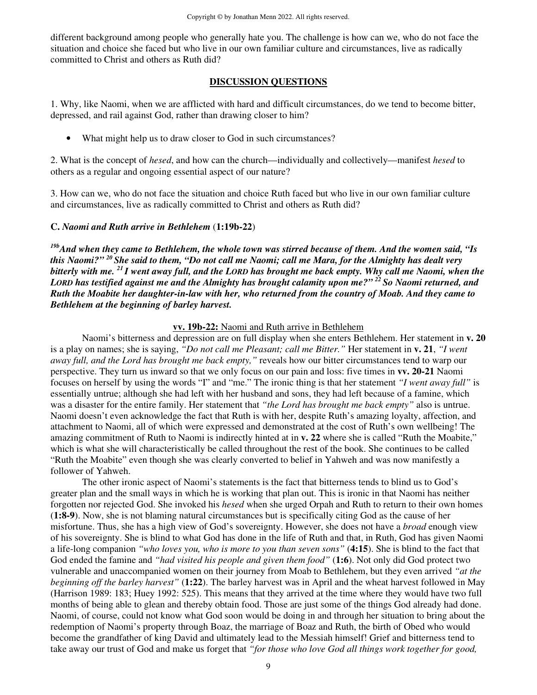different background among people who generally hate you. The challenge is how can we, who do not face the situation and choice she faced but who live in our own familiar culture and circumstances, live as radically committed to Christ and others as Ruth did?

#### **DISCUSSION QUESTIONS**

1. Why, like Naomi, when we are afflicted with hard and difficult circumstances, do we tend to become bitter, depressed, and rail against God, rather than drawing closer to him?

• What might help us to draw closer to God in such circumstances?

2. What is the concept of *hesed*, and how can the church—individually and collectively—manifest *hesed* to others as a regular and ongoing essential aspect of our nature?

3. How can we, who do not face the situation and choice Ruth faced but who live in our own familiar culture and circumstances, live as radically committed to Christ and others as Ruth did?

#### **C.** *Naomi and Ruth arrive in Bethlehem* (**1:19b-22**)

*19bAnd when they came to Bethlehem, the whole town was stirred because of them. And the women said, "Is this Naomi?" <sup>20</sup>She said to them, "Do not call me Naomi; call me Mara, for the Almighty has dealt very bitterly with me. <sup>21</sup>I went away full, and the LORD has brought me back empty. Why call me Naomi, when the LORD has testified against me and the Almighty has brought calamity upon me?" <sup>22</sup>So Naomi returned, and Ruth the Moabite her daughter-in-law with her, who returned from the country of Moab. And they came to Bethlehem at the beginning of barley harvest.* 

#### **vv. 19b-22:** Naomi and Ruth arrive in Bethlehem

Naomi's bitterness and depression are on full display when she enters Bethlehem. Her statement in **v. 20**  is a play on names; she is saying, *"Do not call me Pleasant; call me Bitter."* Her statement in **v. 21**, *"I went away full, and the Lord has brought me back empty,"* reveals how our bitter circumstances tend to warp our perspective. They turn us inward so that we only focus on our pain and loss: five times in **vv. 20-21** Naomi focuses on herself by using the words "I" and "me." The ironic thing is that her statement *"I went away full"* is essentially untrue; although she had left with her husband and sons, they had left because of a famine, which was a disaster for the entire family. Her statement that *"the Lord has brought me back empty"* also is untrue. Naomi doesn't even acknowledge the fact that Ruth is with her, despite Ruth's amazing loyalty, affection, and attachment to Naomi, all of which were expressed and demonstrated at the cost of Ruth's own wellbeing! The amazing commitment of Ruth to Naomi is indirectly hinted at in **v. 22** where she is called "Ruth the Moabite," which is what she will characteristically be called throughout the rest of the book. She continues to be called "Ruth the Moabite" even though she was clearly converted to belief in Yahweh and was now manifestly a follower of Yahweh.

 The other ironic aspect of Naomi's statements is the fact that bitterness tends to blind us to God's greater plan and the small ways in which he is working that plan out. This is ironic in that Naomi has neither forgotten nor rejected God. She invoked his *hesed* when she urged Orpah and Ruth to return to their own homes (**1:8-9**). Now, she is not blaming natural circumstances but is specifically citing God as the cause of her misfortune. Thus, she has a high view of God's sovereignty. However, she does not have a *broad* enough view of his sovereignty. She is blind to what God has done in the life of Ruth and that, in Ruth, God has given Naomi a life-long companion *"who loves you, who is more to you than seven sons"* (**4:15**). She is blind to the fact that God ended the famine and *"had visited his people and given them food"* (**1:6**). Not only did God protect two vulnerable and unaccompanied women on their journey from Moab to Bethlehem, but they even arrived *"at the beginning off the barley harvest"* (**1:22**). The barley harvest was in April and the wheat harvest followed in May (Harrison 1989: 183; Huey 1992: 525). This means that they arrived at the time where they would have two full months of being able to glean and thereby obtain food. Those are just some of the things God already had done. Naomi, of course, could not know what God soon would be doing in and through her situation to bring about the redemption of Naomi's property through Boaz, the marriage of Boaz and Ruth, the birth of Obed who would become the grandfather of king David and ultimately lead to the Messiah himself! Grief and bitterness tend to take away our trust of God and make us forget that *"for those who love God all things work together for good,*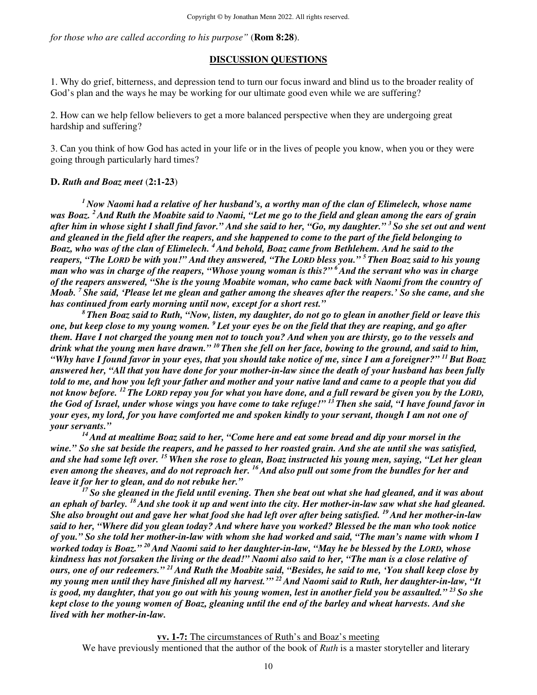*for those who are called according to his purpose"* (**Rom 8:28**).

#### **DISCUSSION QUESTIONS**

1. Why do grief, bitterness, and depression tend to turn our focus inward and blind us to the broader reality of God's plan and the ways he may be working for our ultimate good even while we are suffering?

2. How can we help fellow believers to get a more balanced perspective when they are undergoing great hardship and suffering?

3. Can you think of how God has acted in your life or in the lives of people you know, when you or they were going through particularly hard times?

#### **D.** *Ruth and Boaz meet* (**2:1-23**)

*<sup>1</sup>Now Naomi had a relative of her husband's, a worthy man of the clan of Elimelech, whose name was Boaz. <sup>2</sup>And Ruth the Moabite said to Naomi, "Let me go to the field and glean among the ears of grain after him in whose sight I shall find favor." And she said to her, "Go, my daughter." <sup>3</sup>So she set out and went and gleaned in the field after the reapers, and she happened to come to the part of the field belonging to Boaz, who was of the clan of Elimelech. <sup>4</sup>And behold, Boaz came from Bethlehem. And he said to the reapers, "The LORD be with you!" And they answered, "The LORD bless you." <sup>5</sup>Then Boaz said to his young man who was in charge of the reapers, "Whose young woman is this?" <sup>6</sup>And the servant who was in charge of the reapers answered, "She is the young Moabite woman, who came back with Naomi from the country of Moab. <sup>7</sup>She said, 'Please let me glean and gather among the sheaves after the reapers.' So she came, and she has continued from early morning until now, except for a short rest."* 

*<sup>8</sup>Then Boaz said to Ruth, "Now, listen, my daughter, do not go to glean in another field or leave this one, but keep close to my young women. <sup>9</sup>Let your eyes be on the field that they are reaping, and go after them. Have I not charged the young men not to touch you? And when you are thirsty, go to the vessels and drink what the young men have drawn." <sup>10</sup>Then she fell on her face, bowing to the ground, and said to him, "Why have I found favor in your eyes, that you should take notice of me, since I am a foreigner?" <sup>11</sup>But Boaz answered her, "All that you have done for your mother-in-law since the death of your husband has been fully told to me, and how you left your father and mother and your native land and came to a people that you did not know before. <sup>12</sup>The LORD repay you for what you have done, and a full reward be given you by the LORD, the God of Israel, under whose wings you have come to take refuge!" <sup>13</sup>Then she said, "I have found favor in your eyes, my lord, for you have comforted me and spoken kindly to your servant, though I am not one of your servants."* 

*<sup>14</sup>And at mealtime Boaz said to her, "Come here and eat some bread and dip your morsel in the wine." So she sat beside the reapers, and he passed to her roasted grain. And she ate until she was satisfied, and she had some left over. <sup>15</sup>When she rose to glean, Boaz instructed his young men, saying, "Let her glean even among the sheaves, and do not reproach her. <sup>16</sup>And also pull out some from the bundles for her and leave it for her to glean, and do not rebuke her."* 

*<sup>17</sup>So she gleaned in the field until evening. Then she beat out what she had gleaned, and it was about an ephah of barley. <sup>18</sup>And she took it up and went into the city. Her mother-in-law saw what she had gleaned. She also brought out and gave her what food she had left over after being satisfied. <sup>19</sup>And her mother-in-law said to her, "Where did you glean today? And where have you worked? Blessed be the man who took notice of you." So she told her mother-in-law with whom she had worked and said, "The man's name with whom I worked today is Boaz." <sup>20</sup>And Naomi said to her daughter-in-law, "May he be blessed by the LORD, whose kindness has not forsaken the living or the dead!" Naomi also said to her, "The man is a close relative of ours, one of our redeemers." <sup>21</sup>And Ruth the Moabite said, "Besides, he said to me, 'You shall keep close by my young men until they have finished all my harvest.'" <sup>22</sup>And Naomi said to Ruth, her daughter-in-law, "It is good, my daughter, that you go out with his young women, lest in another field you be assaulted." <sup>23</sup>So she kept close to the young women of Boaz, gleaning until the end of the barley and wheat harvests. And she lived with her mother-in-law.* 

**vv. 1-7:** The circumstances of Ruth's and Boaz's meeting

We have previously mentioned that the author of the book of *Ruth* is a master storyteller and literary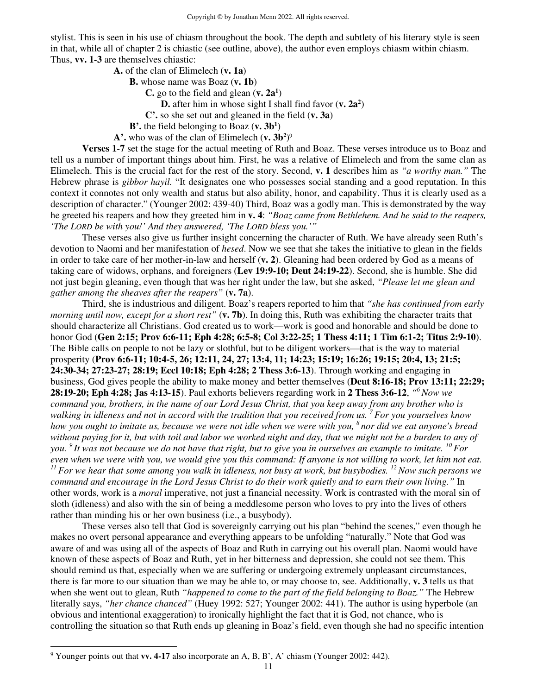stylist. This is seen in his use of chiasm throughout the book. The depth and subtlety of his literary style is seen in that, while all of chapter 2 is chiastic (see outline, above), the author even employs chiasm within chiasm. Thus, **vv. 1-3** are themselves chiastic:

**A.** of the clan of Elimelech (**v. 1a**)

**B.** whose name was Boaz (**v. 1b**)

**C.** go to the field and glean (**v. 2a<sup>1</sup>** )

**D.** after him in whose sight I shall find favor (**v. 2a<sup>2</sup>** )

**C'.** so she set out and gleaned in the field (**v. 3a**)

**B'.** the field belonging to Boaz (**v. 3b<sup>1</sup>** )

**A'.** who was of the clan of Elimelech (**v. 3b<sup>2</sup>** ) 9

**Verses 1-7** set the stage for the actual meeting of Ruth and Boaz. These verses introduce us to Boaz and tell us a number of important things about him. First, he was a relative of Elimelech and from the same clan as Elimelech. This is the crucial fact for the rest of the story. Second, **v. 1** describes him as *"a worthy man."* The Hebrew phrase is *gibbor hayil.* "It designates one who possesses social standing and a good reputation. In this context it connotes not only wealth and status but also ability, honor, and capability. Thus it is clearly used as a description of character." (Younger 2002: 439-40) Third, Boaz was a godly man. This is demonstrated by the way he greeted his reapers and how they greeted him in **v. 4**: *"Boaz came from Bethlehem. And he said to the reapers, 'The LORD be with you!' And they answered, 'The LORD bless you.'"* 

These verses also give us further insight concerning the character of Ruth. We have already seen Ruth's devotion to Naomi and her manifestation of *hesed*. Now we see that she takes the initiative to glean in the fields in order to take care of her mother-in-law and herself (**v. 2**). Gleaning had been ordered by God as a means of taking care of widows, orphans, and foreigners (**Lev 19:9-10; Deut 24:19-22**). Second, she is humble. She did not just begin gleaning, even though that was her right under the law, but she asked, *"Please let me glean and gather among the sheaves after the reapers"* (**v. 7a**).

Third, she is industrious and diligent. Boaz's reapers reported to him that *"she has continued from early morning until now, except for a short rest"* (**v. 7b**). In doing this, Ruth was exhibiting the character traits that should characterize all Christians. God created us to work—work is good and honorable and should be done to honor God (**Gen 2:15; Prov 6:6-11; Eph 4:28; 6:5-8; Col 3:22-25; 1 Thess 4:11; 1 Tim 6:1-2; Titus 2:9-10**). The Bible calls on people to not be lazy or slothful, but to be diligent workers—that is the way to material prosperity (**Prov 6:6-11; 10:4-5, 26; 12:11, 24, 27; 13:4, 11; 14:23; 15:19; 16:26; 19:15; 20:4, 13; 21:5; 24:30-34; 27:23-27; 28:19; Eccl 10:18; Eph 4:28; 2 Thess 3:6-13**). Through working and engaging in business, God gives people the ability to make money and better themselves (**Deut 8:16-18; Prov 13:11; 22:29; 28:19-20; Eph 4:28; Jas 4:13-15**). Paul exhorts believers regarding work in **2 Thess 3:6-12**, *" <sup>6</sup>Now we command you, brothers, in the name of our Lord Jesus Christ, that you keep away from any brother who is walking in idleness and not in accord with the tradition that you received from us. <sup>7</sup>For you yourselves know how you ought to imitate us, because we were not idle when we were with you, <sup>8</sup>nor did we eat anyone's bread without paying for it, but with toil and labor we worked night and day, that we might not be a burden to any of you. <sup>9</sup>It was not because we do not have that right, but to give you in ourselves an example to imitate. <sup>10</sup>For even when we were with you, we would give you this command: If anyone is not willing to work, let him not eat. <sup>11</sup>For we hear that some among you walk in idleness, not busy at work, but busybodies. <sup>12</sup>Now such persons we command and encourage in the Lord Jesus Christ to do their work quietly and to earn their own living."* In other words, work is a *moral* imperative, not just a financial necessity. Work is contrasted with the moral sin of sloth (idleness) and also with the sin of being a meddlesome person who loves to pry into the lives of others rather than minding his or her own business (i.e., a busybody).

These verses also tell that God is sovereignly carrying out his plan "behind the scenes," even though he makes no overt personal appearance and everything appears to be unfolding "naturally." Note that God was aware of and was using all of the aspects of Boaz and Ruth in carrying out his overall plan. Naomi would have known of these aspects of Boaz and Ruth, yet in her bitterness and depression, she could not see them. This should remind us that, especially when we are suffering or undergoing extremely unpleasant circumstances, there is far more to our situation than we may be able to, or may choose to, see. Additionally, **v. 3** tells us that when she went out to glean, Ruth *"happened to come to the part of the field belonging to Boaz."* The Hebrew literally says, *"her chance chanced"* (Huey 1992: 527; Younger 2002: 441). The author is using hyperbole (an obvious and intentional exaggeration) to ironically highlight the fact that it is God, not chance, who is controlling the situation so that Ruth ends up gleaning in Boaz's field, even though she had no specific intention

<sup>9</sup> Younger points out that **vv. 4-17** also incorporate an A, B, B', A' chiasm (Younger 2002: 442).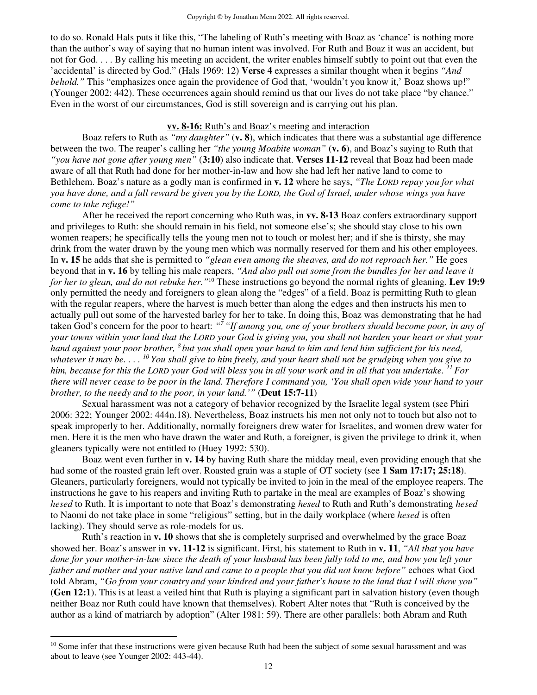to do so. Ronald Hals puts it like this, "The labeling of Ruth's meeting with Boaz as 'chance' is nothing more than the author's way of saying that no human intent was involved. For Ruth and Boaz it was an accident, but not for God. . . . By calling his meeting an accident, the writer enables himself subtly to point out that even the 'accidental' is directed by God." (Hals 1969: 12) **Verse 4** expresses a similar thought when it begins *"And behold.*" This "emphasizes once again the providence of God that, 'wouldn't you know it,' Boaz shows up!" (Younger 2002: 442). These occurrences again should remind us that our lives do not take place "by chance." Even in the worst of our circumstances, God is still sovereign and is carrying out his plan.

#### **vv. 8-16:** Ruth's and Boaz's meeting and interaction

 Boaz refers to Ruth as *"my daughter"* (**v. 8**), which indicates that there was a substantial age difference between the two. The reaper's calling her *"the young Moabite woman"* (**v. 6**), and Boaz's saying to Ruth that *"you have not gone after young men"* (**3:10**) also indicate that. **Verses 11-12** reveal that Boaz had been made aware of all that Ruth had done for her mother-in-law and how she had left her native land to come to Bethlehem. Boaz's nature as a godly man is confirmed in **v. 12** where he says, *"The LORD repay you for what you have done, and a full reward be given you by the LORD, the God of Israel, under whose wings you have come to take refuge!"* 

After he received the report concerning who Ruth was, in **vv. 8-13** Boaz confers extraordinary support and privileges to Ruth: she should remain in his field, not someone else's; she should stay close to his own women reapers; he specifically tells the young men not to touch or molest her; and if she is thirsty, she may drink from the water drawn by the young men which was normally reserved for them and his other employees. In **v. 15** he adds that she is permitted to *"glean even among the sheaves, and do not reproach her."* He goes beyond that in **v. 16** by telling his male reapers, *"And also pull out some from the bundles for her and leave it for her to glean, and do not rebuke her."*<sup>10</sup> These instructions go beyond the normal rights of gleaning. **Lev 19:9** only permitted the needy and foreigners to glean along the "edges" of a field. Boaz is permitting Ruth to glean with the regular reapers, where the harvest is much better than along the edges and then instructs his men to actually pull out some of the harvested barley for her to take. In doing this, Boaz was demonstrating that he had taken God's concern for the poor to heart: "<sup>7</sup> "If among you, one of your brothers should become poor, in any of *your towns within your land that the LORD your God is giving you, you shall not harden your heart or shut your hand against your poor brother, <sup>8</sup>but you shall open your hand to him and lend him sufficient for his need, whatever it may be. . . . <sup>10</sup>You shall give to him freely, and your heart shall not be grudging when you give to him, because for this the LORD your God will bless you in all your work and in all that you undertake. <sup>11</sup>For there will never cease to be poor in the land. Therefore I command you, 'You shall open wide your hand to your brother, to the needy and to the poor, in your land.'"* (**Deut 15:7-11**)

Sexual harassment was not a category of behavior recognized by the Israelite legal system (see Phiri 2006: 322; Younger 2002: 444n.18). Nevertheless, Boaz instructs his men not only not to touch but also not to speak improperly to her. Additionally, normally foreigners drew water for Israelites, and women drew water for men. Here it is the men who have drawn the water and Ruth, a foreigner, is given the privilege to drink it, when gleaners typically were not entitled to (Huey 1992: 530).

Boaz went even further in **v. 14** by having Ruth share the midday meal, even providing enough that she had some of the roasted grain left over. Roasted grain was a staple of OT society (see **1 Sam 17:17; 25:18**). Gleaners, particularly foreigners, would not typically be invited to join in the meal of the employee reapers. The instructions he gave to his reapers and inviting Ruth to partake in the meal are examples of Boaz's showing *hesed* to Ruth. It is important to note that Boaz's demonstrating *hesed* to Ruth and Ruth's demonstrating *hesed* to Naomi do not take place in some "religious" setting, but in the daily workplace (where *hesed* is often lacking). They should serve as role-models for us.

 Ruth's reaction in **v. 10** shows that she is completely surprised and overwhelmed by the grace Boaz showed her. Boaz's answer in **vv. 11-12** is significant. First, his statement to Ruth in **v. 11**, *"All that you have done for your mother-in-law since the death of your husband has been fully told to me, and how you left your father and mother and your native land and came to a people that you did not know before"* echoes what God told Abram, *"Go from your country and your kindred and your father's house to the land that I will show you"*  (**Gen 12:1**). This is at least a veiled hint that Ruth is playing a significant part in salvation history (even though neither Boaz nor Ruth could have known that themselves). Robert Alter notes that "Ruth is conceived by the author as a kind of matriarch by adoption" (Alter 1981: 59). There are other parallels: both Abram and Ruth

<sup>&</sup>lt;sup>10</sup> Some infer that these instructions were given because Ruth had been the subject of some sexual harassment and was about to leave (see Younger 2002: 443-44).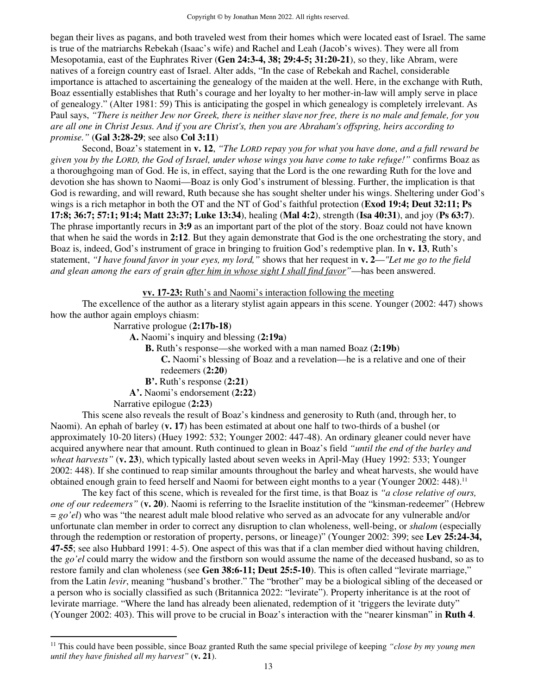began their lives as pagans, and both traveled west from their homes which were located east of Israel. The same is true of the matriarchs Rebekah (Isaac's wife) and Rachel and Leah (Jacob's wives). They were all from Mesopotamia, east of the Euphrates River (**Gen 24:3-4, 38; 29:4-5; 31:20-21**), so they, like Abram, were natives of a foreign country east of Israel. Alter adds, "In the case of Rebekah and Rachel, considerable importance is attached to ascertaining the genealogy of the maiden at the well. Here, in the exchange with Ruth, Boaz essentially establishes that Ruth's courage and her loyalty to her mother-in-law will amply serve in place of genealogy." (Alter 1981: 59) This is anticipating the gospel in which genealogy is completely irrelevant. As Paul says, *"There is neither Jew nor Greek, there is neither slave nor free, there is no male and female, for you are all one in Christ Jesus. And if you are Christ's, then you are Abraham's offspring, heirs according to promise."* (**Gal 3:28-29**; see also **Col 3:11**)

Second, Boaz's statement in **v. 12**, *"The LORD repay you for what you have done, and a full reward be given you by the LORD, the God of Israel, under whose wings you have come to take refuge!"* confirms Boaz as a thoroughgoing man of God. He is, in effect, saying that the Lord is the one rewarding Ruth for the love and devotion she has shown to Naomi—Boaz is only God's instrument of blessing. Further, the implication is that God is rewarding, and will reward, Ruth because she has sought shelter under his wings. Sheltering under God's wings is a rich metaphor in both the OT and the NT of God's faithful protection (**Exod 19:4; Deut 32:11; Ps 17:8; 36:7; 57:1; 91:4; Matt 23:37; Luke 13:34**), healing (**Mal 4:2**), strength (**Isa 40:31**), and joy (**Ps 63:7**). The phrase importantly recurs in **3:9** as an important part of the plot of the story. Boaz could not have known that when he said the words in **2:12**. But they again demonstrate that God is the one orchestrating the story, and Boaz is, indeed, God's instrument of grace in bringing to fruition God's redemptive plan. In **v. 13**, Ruth's statement, *"I have found favor in your eyes, my lord,"* shows that her request in **v. 2**—*"Let me go to the field and glean among the ears of grain after him in whose sight I shall find favor"*—has been answered.

**vv. 17-23:** Ruth's and Naomi's interaction following the meeting

The excellence of the author as a literary stylist again appears in this scene. Younger (2002: 447) shows how the author again employs chiasm:

Narrative prologue (**2:17b-18**)

**A.** Naomi's inquiry and blessing (**2:19a**)

**B.** Ruth's response—she worked with a man named Boaz (**2:19b**)

**C.** Naomi's blessing of Boaz and a revelation—he is a relative and one of their redeemers (**2:20**)

**B'.** Ruth's response (**2:21**)

**A'.** Naomi's endorsement (**2:22**)

Narrative epilogue (**2:23**)

This scene also reveals the result of Boaz's kindness and generosity to Ruth (and, through her, to Naomi). An ephah of barley (**v. 17**) has been estimated at about one half to two-thirds of a bushel (or approximately 10-20 liters) (Huey 1992: 532; Younger 2002: 447-48). An ordinary gleaner could never have acquired anywhere near that amount. Ruth continued to glean in Boaz's field *"until the end of the barley and wheat harvests"* (**v. 23**), which typically lasted about seven weeks in April-May (Huey 1992: 533; Younger 2002: 448). If she continued to reap similar amounts throughout the barley and wheat harvests, she would have obtained enough grain to feed herself and Naomi for between eight months to a year (Younger 2002: 448). 11

The key fact of this scene, which is revealed for the first time, is that Boaz is *"a close relative of ours, one of our redeemers"* (**v. 20**). Naomi is referring to the Israelite institution of the "kinsman-redeemer" (Hebrew = *go'el*) who was "the nearest adult male blood relative who served as an advocate for any vulnerable and/or unfortunate clan member in order to correct any disruption to clan wholeness, well-being, or *shalom* (especially through the redemption or restoration of property, persons, or lineage)" (Younger 2002: 399; see **Lev 25:24-34, 47-55**; see also Hubbard 1991: 4-5). One aspect of this was that if a clan member died without having children, the *go'el* could marry the widow and the firstborn son would assume the name of the deceased husband, so as to restore family and clan wholeness (see **Gen 38:6-11; Deut 25:5-10**). This is often called "levirate marriage," from the Latin *levir*, meaning "husband's brother." The "brother" may be a biological sibling of the deceased or a person who is socially classified as such (Britannica 2022: "levirate"). Property inheritance is at the root of levirate marriage. "Where the land has already been alienated, redemption of it 'triggers the levirate duty" (Younger 2002: 403). This will prove to be crucial in Boaz's interaction with the "nearer kinsman" in **Ruth 4**.

<sup>11</sup> This could have been possible, since Boaz granted Ruth the same special privilege of keeping *"close by my young men until they have finished all my harvest"* (**v. 21**).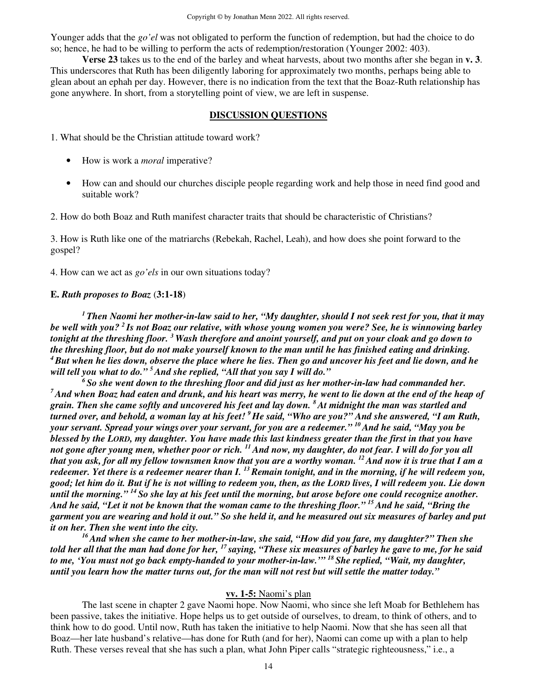Younger adds that the *go'el* was not obligated to perform the function of redemption, but had the choice to do so; hence, he had to be willing to perform the acts of redemption/restoration (Younger 2002: 403).

**Verse 23** takes us to the end of the barley and wheat harvests, about two months after she began in **v. 3**. This underscores that Ruth has been diligently laboring for approximately two months, perhaps being able to glean about an ephah per day. However, there is no indication from the text that the Boaz-Ruth relationship has gone anywhere. In short, from a storytelling point of view, we are left in suspense.

#### **DISCUSSION QUESTIONS**

1. What should be the Christian attitude toward work?

- How is work a *moral* imperative?
- How can and should our churches disciple people regarding work and help those in need find good and suitable work?

2. How do both Boaz and Ruth manifest character traits that should be characteristic of Christians?

3. How is Ruth like one of the matriarchs (Rebekah, Rachel, Leah), and how does she point forward to the gospel?

4. How can we act as *go'els* in our own situations today?

#### **E.** *Ruth proposes to Boaz* (**3:1-18**)

*<sup>1</sup>Then Naomi her mother-in-law said to her, "My daughter, should I not seek rest for you, that it may be well with you? <sup>2</sup>Is not Boaz our relative, with whose young women you were? See, he is winnowing barley tonight at the threshing floor. <sup>3</sup>Wash therefore and anoint yourself, and put on your cloak and go down to the threshing floor, but do not make yourself known to the man until he has finished eating and drinking. <sup>4</sup>But when he lies down, observe the place where he lies. Then go and uncover his feet and lie down, and he will tell you what to do." <sup>5</sup>And she replied, "All that you say I will do."* 

*<sup>6</sup>So she went down to the threshing floor and did just as her mother-in-law had commanded her. <sup>7</sup>And when Boaz had eaten and drunk, and his heart was merry, he went to lie down at the end of the heap of grain. Then she came softly and uncovered his feet and lay down. <sup>8</sup>At midnight the man was startled and turned over, and behold, a woman lay at his feet! <sup>9</sup>He said, "Who are you?" And she answered, "I am Ruth, your servant. Spread your wings over your servant, for you are a redeemer." <sup>10</sup>And he said, "May you be blessed by the LORD, my daughter. You have made this last kindness greater than the first in that you have not gone after young men, whether poor or rich. <sup>11</sup>And now, my daughter, do not fear. I will do for you all that you ask, for all my fellow townsmen know that you are a worthy woman. <sup>12</sup>And now it is true that I am a redeemer. Yet there is a redeemer nearer than I. <sup>13</sup>Remain tonight, and in the morning, if he will redeem you, good; let him do it. But if he is not willing to redeem you, then, as the LORD lives, I will redeem you. Lie down until the morning." <sup>14</sup>So she lay at his feet until the morning, but arose before one could recognize another. And he said, "Let it not be known that the woman came to the threshing floor." <sup>15</sup>And he said, "Bring the garment you are wearing and hold it out." So she held it, and he measured out six measures of barley and put it on her. Then she went into the city.* 

*<sup>16</sup>And when she came to her mother-in-law, she said, "How did you fare, my daughter?" Then she told her all that the man had done for her, <sup>17</sup>saying, "These six measures of barley he gave to me, for he said to me, 'You must not go back empty-handed to your mother-in-law.'" <sup>18</sup>She replied, "Wait, my daughter, until you learn how the matter turns out, for the man will not rest but will settle the matter today."*

#### **vv. 1-5:** Naomi's plan

 The last scene in chapter 2 gave Naomi hope. Now Naomi, who since she left Moab for Bethlehem has been passive, takes the initiative. Hope helps us to get outside of ourselves, to dream, to think of others, and to think how to do good. Until now, Ruth has taken the initiative to help Naomi. Now that she has seen all that Boaz—her late husband's relative—has done for Ruth (and for her), Naomi can come up with a plan to help Ruth. These verses reveal that she has such a plan, what John Piper calls "strategic righteousness," i.e., a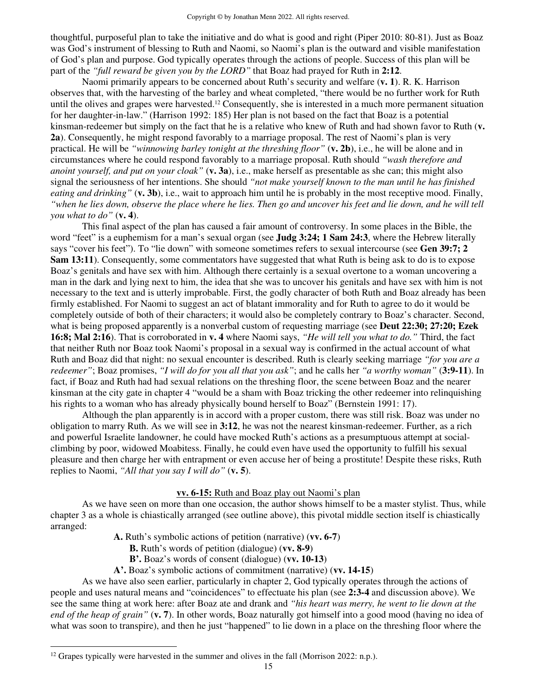thoughtful, purposeful plan to take the initiative and do what is good and right (Piper 2010: 80-81). Just as Boaz was God's instrument of blessing to Ruth and Naomi, so Naomi's plan is the outward and visible manifestation of God's plan and purpose. God typically operates through the actions of people. Success of this plan will be part of the *"full reward be given you by the LORD"* that Boaz had prayed for Ruth in **2:12**.

 Naomi primarily appears to be concerned about Ruth's security and welfare (**v. 1**). R. K. Harrison observes that, with the harvesting of the barley and wheat completed, "there would be no further work for Ruth until the olives and grapes were harvested.<sup>12</sup> Consequently, she is interested in a much more permanent situation for her daughter-in-law." (Harrison 1992: 185) Her plan is not based on the fact that Boaz is a potential kinsman-redeemer but simply on the fact that he is a relative who knew of Ruth and had shown favor to Ruth (**v. 2a**). Consequently, he might respond favorably to a marriage proposal. The rest of Naomi's plan is very practical. He will be *"winnowing barley tonight at the threshing floor"* (**v. 2b**), i.e., he will be alone and in circumstances where he could respond favorably to a marriage proposal. Ruth should *"wash therefore and anoint yourself, and put on your cloak"* (**v. 3a**), i.e., make herself as presentable as she can; this might also signal the seriousness of her intentions. She should *"not make yourself known to the man until he has finished eating and drinking"* (**v. 3b**), i.e., wait to approach him until he is probably in the most receptive mood. Finally, *"when he lies down, observe the place where he lies. Then go and uncover his feet and lie down, and he will tell you what to do"* (**v. 4**).

 This final aspect of the plan has caused a fair amount of controversy. In some places in the Bible, the word "feet" is a euphemism for a man's sexual organ (see **Judg 3:24; 1 Sam 24:3**, where the Hebrew literally says "cover his feet"). To "lie down" with someone sometimes refers to sexual intercourse (see **Gen 39:7; 2 Sam 13:11**). Consequently, some commentators have suggested that what Ruth is being ask to do is to expose Boaz's genitals and have sex with him. Although there certainly is a sexual overtone to a woman uncovering a man in the dark and lying next to him, the idea that she was to uncover his genitals and have sex with him is not necessary to the text and is utterly improbable. First, the godly character of both Ruth and Boaz already has been firmly established. For Naomi to suggest an act of blatant immorality and for Ruth to agree to do it would be completely outside of both of their characters; it would also be completely contrary to Boaz's character. Second, what is being proposed apparently is a nonverbal custom of requesting marriage (see **Deut 22:30; 27:20; Ezek 16:8; Mal 2:16**). That is corroborated in **v. 4** where Naomi says, *"He will tell you what to do."* Third, the fact that neither Ruth nor Boaz took Naomi's proposal in a sexual way is confirmed in the actual account of what Ruth and Boaz did that night: no sexual encounter is described. Ruth is clearly seeking marriage *"for you are a redeemer"*; Boaz promises, *"I will do for you all that you ask"*; and he calls her *"a worthy woman"* (**3:9-11**). In fact, if Boaz and Ruth had had sexual relations on the threshing floor, the scene between Boaz and the nearer kinsman at the city gate in chapter 4 "would be a sham with Boaz tricking the other redeemer into relinquishing his rights to a woman who has already physically bound herself to Boaz" (Bernstein 1991: 17).

 Although the plan apparently is in accord with a proper custom, there was still risk. Boaz was under no obligation to marry Ruth. As we will see in **3:12**, he was not the nearest kinsman-redeemer. Further, as a rich and powerful Israelite landowner, he could have mocked Ruth's actions as a presumptuous attempt at socialclimbing by poor, widowed Moabitess. Finally, he could even have used the opportunity to fulfill his sexual pleasure and then charge her with entrapment or even accuse her of being a prostitute! Despite these risks, Ruth replies to Naomi, *"All that you say I will do"* (**v. 5**).

## **vv. 6-15:** Ruth and Boaz play out Naomi's plan

 As we have seen on more than one occasion, the author shows himself to be a master stylist. Thus, while chapter 3 as a whole is chiastically arranged (see outline above), this pivotal middle section itself is chiastically arranged:

**A.** Ruth's symbolic actions of petition (narrative) (**vv. 6-7**)

**B.** Ruth's words of petition (dialogue) (**vv. 8-9**)

- **B'.** Boaz's words of consent (dialogue) (**vv. 10-13**)
- **A'.** Boaz's symbolic actions of commitment (narrative) (**vv. 14-15**)

 As we have also seen earlier, particularly in chapter 2, God typically operates through the actions of people and uses natural means and "coincidences" to effectuate his plan (see **2:3-4** and discussion above). We see the same thing at work here: after Boaz ate and drank and *"his heart was merry, he went to lie down at the end of the heap of grain"* (**v. 7**). In other words, Boaz naturally got himself into a good mood (having no idea of what was soon to transpire), and then he just "happened" to lie down in a place on the threshing floor where the

 $12$  Grapes typically were harvested in the summer and olives in the fall (Morrison 2022: n.p.).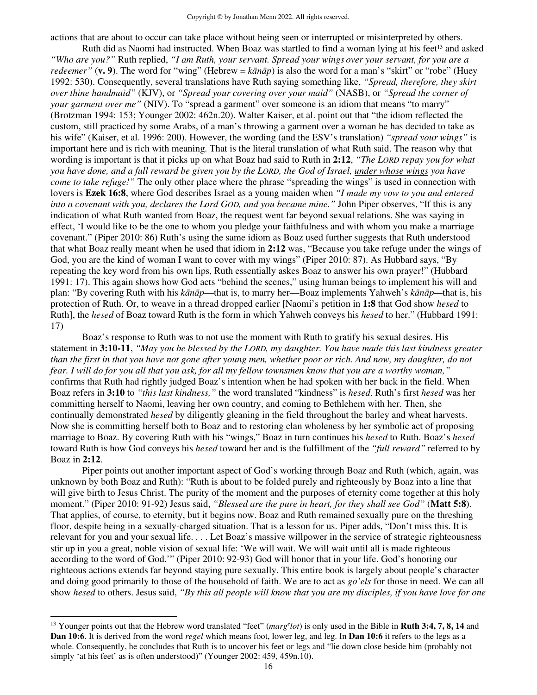actions that are about to occur can take place without being seen or interrupted or misinterpreted by others.

Ruth did as Naomi had instructed. When Boaz was startled to find a woman lying at his feet<sup>13</sup> and asked *"Who are you?"* Ruth replied, *"I am Ruth, your servant. Spread your wings over your servant, for you are a redeemer*" (**v. 9**). The word for "wing" (Hebrew =  $k\bar{a}n\bar{a}p$ ) is also the word for a man's "skirt" or "robe" (Huey 1992: 530). Consequently, several translations have Ruth saying something like, *"Spread, therefore, they skirt over thine handmaid"* (KJV), or *"Spread your covering over your maid"* (NASB), or *"Spread the corner of your garment over me"* (NIV). To "spread a garment" over someone is an idiom that means "to marry" (Brotzman 1994: 153; Younger 2002: 462n.20). Walter Kaiser, et al. point out that "the idiom reflected the custom, still practiced by some Arabs, of a man's throwing a garment over a woman he has decided to take as his wife" (Kaiser, et al. 1996: 200). However, the wording (and the ESV's translation) *"spread your wings"* is important here and is rich with meaning. That is the literal translation of what Ruth said. The reason why that wording is important is that it picks up on what Boaz had said to Ruth in **2:12**, *"The LORD repay you for what you have done, and a full reward be given you by the LORD, the God of Israel, under whose wings you have come to take refuge!"* The only other place where the phrase "spreading the wings" is used in connection with lovers is **Ezek 16:8**, where God describes Israel as a young maiden when *"I made my vow to you and entered into a covenant with you, declares the Lord GOD, and you became mine."* John Piper observes, "If this is any indication of what Ruth wanted from Boaz, the request went far beyond sexual relations. She was saying in effect, 'I would like to be the one to whom you pledge your faithfulness and with whom you make a marriage covenant." (Piper 2010: 86) Ruth's using the same idiom as Boaz used further suggests that Ruth understood that what Boaz really meant when he used that idiom in **2:12** was, "Because you take refuge under the wings of God, you are the kind of woman I want to cover with my wings" (Piper 2010: 87). As Hubbard says, "By repeating the key word from his own lips, Ruth essentially askes Boaz to answer his own prayer!" (Hubbard 1991: 17). This again shows how God acts "behind the scenes," using human beings to implement his will and plan: "By covering Ruth with his *kānāp*—that is, to marry her—Boaz implements Yahweh's *kānāp—*that is, his protection of Ruth. Or, to weave in a thread dropped earlier [Naomi's petition in **1:8** that God show *hesed* to Ruth], the *hesed* of Boaz toward Ruth is the form in which Yahweh conveys his *hesed* to her." (Hubbard 1991: 17)

 Boaz's response to Ruth was to not use the moment with Ruth to gratify his sexual desires. His statement in **3:10-11**, *"May you be blessed by the LORD, my daughter. You have made this last kindness greater than the first in that you have not gone after young men, whether poor or rich. And now, my daughter, do not fear. I will do for you all that you ask, for all my fellow townsmen know that you are a worthy woman,"*  confirms that Ruth had rightly judged Boaz's intention when he had spoken with her back in the field. When Boaz refers in **3:10** to *"this last kindness,"* the word translated "kindness" is *hesed*. Ruth's first *hesed* was her committing herself to Naomi, leaving her own country, and coming to Bethlehem with her. Then, she continually demonstrated *hesed* by diligently gleaning in the field throughout the barley and wheat harvests. Now she is committing herself both to Boaz and to restoring clan wholeness by her symbolic act of proposing marriage to Boaz. By covering Ruth with his "wings," Boaz in turn continues his *hesed* to Ruth. Boaz's *hesed* toward Ruth is how God conveys his *hesed* toward her and is the fulfillment of the *"full reward"* referred to by Boaz in **2:12**.

Piper points out another important aspect of God's working through Boaz and Ruth (which, again, was unknown by both Boaz and Ruth): "Ruth is about to be folded purely and righteously by Boaz into a line that will give birth to Jesus Christ. The purity of the moment and the purposes of eternity come together at this holy moment." (Piper 2010: 91-92) Jesus said, *"Blessed are the pure in heart, for they shall see God"* (**Matt 5:8**). That applies, of course, to eternity, but it begins now. Boaz and Ruth remained sexually pure on the threshing floor, despite being in a sexually-charged situation. That is a lesson for us. Piper adds, "Don't miss this. It is relevant for you and your sexual life. . . . Let Boaz's massive willpower in the service of strategic righteousness stir up in you a great, noble vision of sexual life: 'We will wait. We will wait until all is made righteous according to the word of God.'" (Piper 2010: 92-93) God will honor that in your life. God's honoring our righteous actions extends far beyond staying pure sexually. This entire book is largely about people's character and doing good primarily to those of the household of faith. We are to act as *go'els* for those in need. We can all show *hesed* to others. Jesus said, *"By this all people will know that you are my disciples, if you have love for one* 

<sup>&</sup>lt;sup>13</sup> Younger points out that the Hebrew word translated "feet" (*marg<sup>e</sup>lot*) is only used in the Bible in **Ruth 3:4, 7, 8, 14** and **Dan 10:6**. It is derived from the word *regel* which means foot, lower leg, and leg. In **Dan 10:6** it refers to the legs as a whole. Consequently, he concludes that Ruth is to uncover his feet or legs and "lie down close beside him (probably not simply 'at his feet' as is often understood)" (Younger 2002: 459, 459n.10).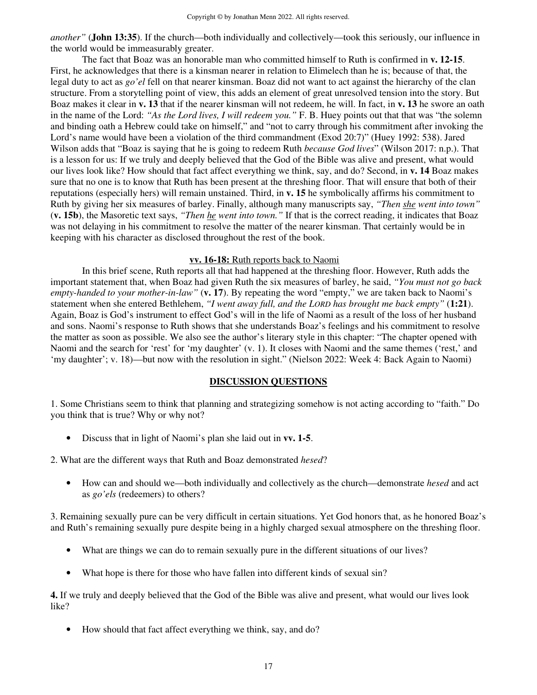*another"* (**John 13:35**). If the church—both individually and collectively—took this seriously, our influence in the world would be immeasurably greater.

The fact that Boaz was an honorable man who committed himself to Ruth is confirmed in **v. 12-15**. First, he acknowledges that there is a kinsman nearer in relation to Elimelech than he is; because of that, the legal duty to act as *go'el* fell on that nearer kinsman. Boaz did not want to act against the hierarchy of the clan structure. From a storytelling point of view, this adds an element of great unresolved tension into the story. But Boaz makes it clear in **v. 13** that if the nearer kinsman will not redeem, he will. In fact, in **v. 13** he swore an oath in the name of the Lord: *"As the Lord lives, I will redeem you."* F. B. Huey points out that that was "the solemn and binding oath a Hebrew could take on himself," and "not to carry through his commitment after invoking the Lord's name would have been a violation of the third commandment (Exod 20:7)" (Huey 1992: 538). Jared Wilson adds that "Boaz is saying that he is going to redeem Ruth *because God lives*" (Wilson 2017: n.p.). That is a lesson for us: If we truly and deeply believed that the God of the Bible was alive and present, what would our lives look like? How should that fact affect everything we think, say, and do? Second, in **v. 14** Boaz makes sure that no one is to know that Ruth has been present at the threshing floor. That will ensure that both of their reputations (especially hers) will remain unstained. Third, in **v. 15** he symbolically affirms his commitment to Ruth by giving her six measures of barley. Finally, although many manuscripts say, *"Then she went into town"*  (**v. 15b**), the Masoretic text says, *"Then he went into town."* If that is the correct reading, it indicates that Boaz was not delaying in his commitment to resolve the matter of the nearer kinsman. That certainly would be in keeping with his character as disclosed throughout the rest of the book.

#### **vv. 16-18:** Ruth reports back to Naomi

In this brief scene, Ruth reports all that had happened at the threshing floor. However, Ruth adds the important statement that, when Boaz had given Ruth the six measures of barley, he said, *"You must not go back empty-handed to your mother-in-law"* (**v. 17**). By repeating the word "empty," we are taken back to Naomi's statement when she entered Bethlehem, *"I went away full, and the LORD has brought me back empty"* (**1:21**). Again, Boaz is God's instrument to effect God's will in the life of Naomi as a result of the loss of her husband and sons. Naomi's response to Ruth shows that she understands Boaz's feelings and his commitment to resolve the matter as soon as possible. We also see the author's literary style in this chapter: "The chapter opened with Naomi and the search for 'rest' for 'my daughter' (v. 1). It closes with Naomi and the same themes ('rest,' and 'my daughter'; v. 18)—but now with the resolution in sight." (Nielson 2022: Week 4: Back Again to Naomi)

#### **DISCUSSION QUESTIONS**

1. Some Christians seem to think that planning and strategizing somehow is not acting according to "faith." Do you think that is true? Why or why not?

• Discuss that in light of Naomi's plan she laid out in **vv. 1-5**.

2. What are the different ways that Ruth and Boaz demonstrated *hesed*?

• How can and should we—both individually and collectively as the church—demonstrate *hesed* and act as *go'els* (redeemers) to others?

3. Remaining sexually pure can be very difficult in certain situations. Yet God honors that, as he honored Boaz's and Ruth's remaining sexually pure despite being in a highly charged sexual atmosphere on the threshing floor.

- What are things we can do to remain sexually pure in the different situations of our lives?
- What hope is there for those who have fallen into different kinds of sexual sin?

**4.** If we truly and deeply believed that the God of the Bible was alive and present, what would our lives look like?

• How should that fact affect everything we think, say, and do?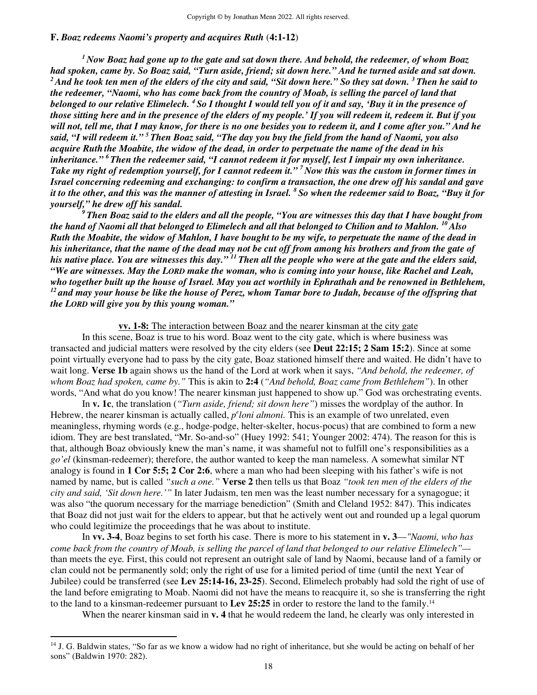#### **F.** *Boaz redeems Naomi's property and acquires Ruth* (**4:1-12**)

*<sup>1</sup>Now Boaz had gone up to the gate and sat down there. And behold, the redeemer, of whom Boaz had spoken, came by. So Boaz said, "Turn aside, friend; sit down here." And he turned aside and sat down. <sup>2</sup>And he took ten men of the elders of the city and said, "Sit down here." So they sat down. <sup>3</sup>Then he said to the redeemer, "Naomi, who has come back from the country of Moab, is selling the parcel of land that belonged to our relative Elimelech. <sup>4</sup>So I thought I would tell you of it and say, 'Buy it in the presence of those sitting here and in the presence of the elders of my people.' If you will redeem it, redeem it. But if you will not, tell me, that I may know, for there is no one besides you to redeem it, and I come after you." And he said, "I will redeem it." <sup>5</sup>Then Boaz said, "The day you buy the field from the hand of Naomi, you also acquire Ruth the Moabite, the widow of the dead, in order to perpetuate the name of the dead in his inheritance." <sup>6</sup>Then the redeemer said, "I cannot redeem it for myself, lest I impair my own inheritance. Take my right of redemption yourself, for I cannot redeem it." <sup>7</sup>Now this was the custom in former times in Israel concerning redeeming and exchanging: to confirm a transaction, the one drew off his sandal and gave it to the other, and this was the manner of attesting in Israel. <sup>8</sup>So when the redeemer said to Boaz, "Buy it for yourself," he drew off his sandal.* 

*<sup>9</sup>Then Boaz said to the elders and all the people, "You are witnesses this day that I have bought from the hand of Naomi all that belonged to Elimelech and all that belonged to Chilion and to Mahlon. <sup>10</sup>Also Ruth the Moabite, the widow of Mahlon, I have bought to be my wife, to perpetuate the name of the dead in his inheritance, that the name of the dead may not be cut off from among his brothers and from the gate of his native place. You are witnesses this day." <sup>11</sup>Then all the people who were at the gate and the elders said, "We are witnesses. May the LORD make the woman, who is coming into your house, like Rachel and Leah, who together built up the house of Israel. May you act worthily in Ephrathah and be renowned in Bethlehem, <sup>12</sup>and may your house be like the house of Perez, whom Tamar bore to Judah, because of the offspring that the LORD will give you by this young woman."* 

#### **vv. 1-8:** The interaction between Boaz and the nearer kinsman at the city gate

 In this scene, Boaz is true to his word. Boaz went to the city gate, which is where business was transacted and judicial matters were resolved by the city elders (see **Deut 22:15; 2 Sam 15:2**). Since at some point virtually everyone had to pass by the city gate, Boaz stationed himself there and waited. He didn't have to wait long. **Verse 1b** again shows us the hand of the Lord at work when it says, *"And behold, the redeemer, of whom Boaz had spoken, came by."* This is akin to **2:4** (*"And behold, Boaz came from Bethlehem"*). In other words, "And what do you know! The nearer kinsman just happened to show up." God was orchestrating events.

In **v. 1c**, the translation (*"Turn aside, friend; sit down here"*) misses the wordplay of the author. In Hebrew, the nearer kinsman is actually called, *p<sup>e</sup>loni almoni*. This is an example of two unrelated, even meaningless, rhyming words (e.g., hodge-podge, helter-skelter, hocus-pocus) that are combined to form a new idiom. They are best translated, "Mr. So-and-so" (Huey 1992: 541; Younger 2002: 474). The reason for this is that, although Boaz obviously knew the man's name, it was shameful not to fulfill one's responsibilities as a *go'el* (kinsman-redeemer); therefore, the author wanted to keep the man nameless. A somewhat similar NT analogy is found in **1 Cor 5:5; 2 Cor 2:6**, where a man who had been sleeping with his father's wife is not named by name, but is called *"such a one."* **Verse 2** then tells us that Boaz *"took ten men of the elders of the city and said, 'Sit down here.'"* In later Judaism, ten men was the least number necessary for a synagogue; it was also "the quorum necessary for the marriage benediction" (Smith and Cleland 1952: 847). This indicates that Boaz did not just wait for the elders to appear, but that he actively went out and rounded up a legal quorum who could legitimize the proceedings that he was about to institute.

In **vv. 3-4**, Boaz begins to set forth his case. There is more to his statement in **v. 3**—*"Naomi, who has come back from the country of Moab, is selling the parcel of land that belonged to our relative Elimelech"* than meets the eye*.* First, this could not represent an outright sale of land by Naomi, because land of a family or clan could not be permanently sold; only the right of use for a limited period of time (until the next Year of Jubilee) could be transferred (see **Lev 25:14-16, 23-25**). Second, Elimelech probably had sold the right of use of the land before emigrating to Moab. Naomi did not have the means to reacquire it, so she is transferring the right to the land to a kinsman-redeemer pursuant to **Lev 25:25** in order to restore the land to the family.<sup>14</sup>

When the nearer kinsman said in **v. 4** that he would redeem the land, he clearly was only interested in

 $14$  J. G. Baldwin states, "So far as we know a widow had no right of inheritance, but she would be acting on behalf of her sons" (Baldwin 1970: 282).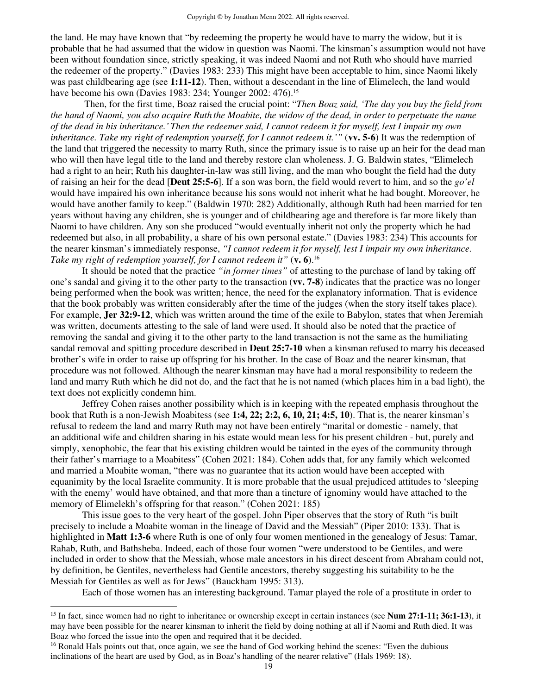the land. He may have known that "by redeeming the property he would have to marry the widow, but it is probable that he had assumed that the widow in question was Naomi. The kinsman's assumption would not have been without foundation since, strictly speaking, it was indeed Naomi and not Ruth who should have married the redeemer of the property." (Davies 1983: 233) This might have been acceptable to him, since Naomi likely was past childbearing age (see **1:11-12**). Then, without a descendant in the line of Elimelech, the land would have become his own (Davies 1983: 234; Younger 2002: 476).<sup>15</sup>

 Then, for the first time, Boaz raised the crucial point: "*Then Boaz said, 'The day you buy the field from the hand of Naomi, you also acquire Ruth the Moabite, the widow of the dead, in order to perpetuate the name of the dead in his inheritance.' Then the redeemer said, I cannot redeem it for myself, lest I impair my own inheritance. Take my right of redemption yourself, for I cannot redeem it.'" (vv. 5-6)* It was the redemption of the land that triggered the necessity to marry Ruth, since the primary issue is to raise up an heir for the dead man who will then have legal title to the land and thereby restore clan wholeness. J. G. Baldwin states, "Elimelech had a right to an heir; Ruth his daughter-in-law was still living, and the man who bought the field had the duty of raising an heir for the dead [**Deut 25:5-6**]. If a son was born, the field would revert to him, and so the *go'el*  would have impaired his own inheritance because his sons would not inherit what he had bought. Moreover, he would have another family to keep." (Baldwin 1970: 282) Additionally, although Ruth had been married for ten years without having any children, she is younger and of childbearing age and therefore is far more likely than Naomi to have children. Any son she produced "would eventually inherit not only the property which he had redeemed but also, in all probability, a share of his own personal estate." (Davies 1983: 234) This accounts for the nearer kinsman's immediately response, *"I cannot redeem it for myself, lest I impair my own inheritance. Take my right of redemption yourself, for I cannot redeem it"* (**v. 6**).<sup>16</sup>

 It should be noted that the practice *"in former times"* of attesting to the purchase of land by taking off one's sandal and giving it to the other party to the transaction (**vv. 7-8**) indicates that the practice was no longer being performed when the book was written; hence, the need for the explanatory information. That is evidence that the book probably was written considerably after the time of the judges (when the story itself takes place). For example, **Jer 32:9-12**, which was written around the time of the exile to Babylon, states that when Jeremiah was written, documents attesting to the sale of land were used. It should also be noted that the practice of removing the sandal and giving it to the other party to the land transaction is not the same as the humiliating sandal removal and spitting procedure described in **Deut 25:7-10** when a kinsman refused to marry his deceased brother's wife in order to raise up offspring for his brother. In the case of Boaz and the nearer kinsman, that procedure was not followed. Although the nearer kinsman may have had a moral responsibility to redeem the land and marry Ruth which he did not do, and the fact that he is not named (which places him in a bad light), the text does not explicitly condemn him.

 Jeffrey Cohen raises another possibility which is in keeping with the repeated emphasis throughout the book that Ruth is a non-Jewish Moabitess (see **1:4, 22; 2:2, 6, 10, 21; 4:5, 10**). That is, the nearer kinsman's refusal to redeem the land and marry Ruth may not have been entirely "marital or domestic - namely, that an additional wife and children sharing in his estate would mean less for his present children - but, purely and simply, xenophobic, the fear that his existing children would be tainted in the eyes of the community through their father's marriage to a Moabitess" (Cohen 2021: 184). Cohen adds that, for any family which welcomed and married a Moabite woman, "there was no guarantee that its action would have been accepted with equanimity by the local Israelite community. It is more probable that the usual prejudiced attitudes to 'sleeping with the enemy' would have obtained, and that more than a tincture of ignominy would have attached to the memory of Elimelekh's offspring for that reason." (Cohen 2021: 185)

 This issue goes to the very heart of the gospel. John Piper observes that the story of Ruth "is built precisely to include a Moabite woman in the lineage of David and the Messiah" (Piper 2010: 133). That is highlighted in **Matt 1:3-6** where Ruth is one of only four women mentioned in the genealogy of Jesus: Tamar, Rahab, Ruth, and Bathsheba. Indeed, each of those four women "were understood to be Gentiles, and were included in order to show that the Messiah, whose male ancestors in his direct descent from Abraham could not, by definition, be Gentiles, nevertheless had Gentile ancestors, thereby suggesting his suitability to be the Messiah for Gentiles as well as for Jews" (Bauckham 1995: 313).

Each of those women has an interesting background. Tamar played the role of a prostitute in order to

<sup>&</sup>lt;sup>15</sup> In fact, since women had no right to inheritance or ownership except in certain instances (see **Num 27:1-11; 36:1-13**), it may have been possible for the nearer kinsman to inherit the field by doing nothing at all if Naomi and Ruth died. It was Boaz who forced the issue into the open and required that it be decided.

<sup>&</sup>lt;sup>16</sup> Ronald Hals points out that, once again, we see the hand of God working behind the scenes: "Even the dubious inclinations of the heart are used by God, as in Boaz's handling of the nearer relative" (Hals 1969: 18).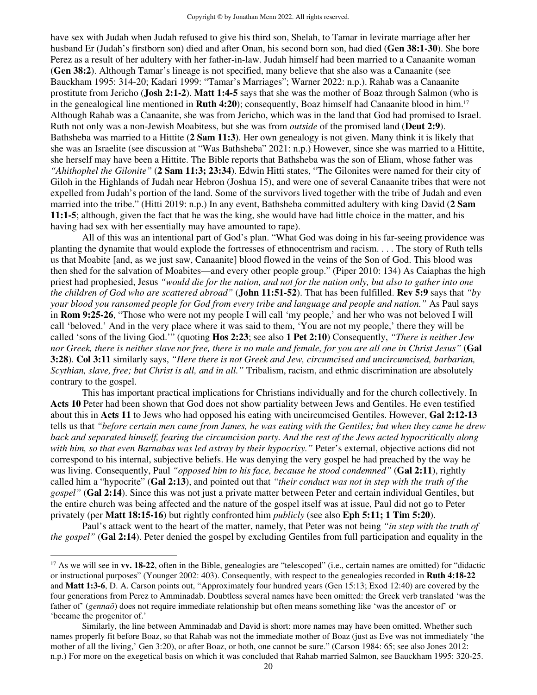have sex with Judah when Judah refused to give his third son, Shelah, to Tamar in levirate marriage after her husband Er (Judah's firstborn son) died and after Onan, his second born son, had died (**Gen 38:1-30**). She bore Perez as a result of her adultery with her father-in-law. Judah himself had been married to a Canaanite woman (**Gen 38:2**). Although Tamar's lineage is not specified, many believe that she also was a Canaanite (see Bauckham 1995: 314-20; Kadari 1999: "Tamar's Marriages"; Warner 2022: n.p.). Rahab was a Canaanite prostitute from Jericho (**Josh 2:1-2**). **Matt 1:4-5** says that she was the mother of Boaz through Salmon (who is in the genealogical line mentioned in **Ruth 4:20**); consequently, Boaz himself had Canaanite blood in him.<sup>17</sup> Although Rahab was a Canaanite, she was from Jericho, which was in the land that God had promised to Israel. Ruth not only was a non-Jewish Moabitess, but she was from *outside* of the promised land (**Deut 2:9**). Bathsheba was married to a Hittite (**2 Sam 11:3**). Her own genealogy is not given. Many think it is likely that she was an Israelite (see discussion at "Was Bathsheba" 2021: n.p.) However, since she was married to a Hittite, she herself may have been a Hittite. The Bible reports that Bathsheba was the son of Eliam, whose father was *"Ahithophel the Gilonite"* (**2 Sam 11:3; 23:34**). Edwin Hitti states, "The Gilonites were named for their city of Giloh in the Highlands of Judah near Hebron (Joshua 15), and were one of several Canaanite tribes that were not expelled from Judah's portion of the land. Some of the survivors lived together with the tribe of Judah and even married into the tribe." (Hitti 2019: n.p.) In any event, Bathsheba committed adultery with king David (**2 Sam 11:1-5**; although, given the fact that he was the king, she would have had little choice in the matter, and his having had sex with her essentially may have amounted to rape).

 All of this was an intentional part of God's plan. "What God was doing in his far-seeing providence was planting the dynamite that would explode the fortresses of ethnocentrism and racism. . . . The story of Ruth tells us that Moabite [and, as we just saw, Canaanite] blood flowed in the veins of the Son of God. This blood was then shed for the salvation of Moabites—and every other people group." (Piper 2010: 134) As Caiaphas the high priest had prophesied, Jesus *"would die for the nation, and not for the nation only, but also to gather into one the children of God who are scattered abroad"* (**John 11:51-52**). That has been fulfilled. **Rev 5:9** says that *"by your blood you ransomed people for God from every tribe and language and people and nation."* As Paul says in **Rom 9:25-26**, "Those who were not my people I will call 'my people,' and her who was not beloved I will call 'beloved.' And in the very place where it was said to them, 'You are not my people,' there they will be called 'sons of the living God.'" (quoting **Hos 2:23**; see also **1 Pet 2:10**) Consequently, *"There is neither Jew nor Greek, there is neither slave nor free, there is no male and female, for you are all one in Christ Jesus"* (**Gal 3:28**). **Col 3:11** similarly says, *"Here there is not Greek and Jew, circumcised and uncircumcised, barbarian, Scythian, slave, free; but Christ is all, and in all."* Tribalism, racism, and ethnic discrimination are absolutely contrary to the gospel.

This has important practical implications for Christians individually and for the church collectively. In **Acts 10** Peter had been shown that God does not show partiality between Jews and Gentiles. He even testified about this in **Acts 11** to Jews who had opposed his eating with uncircumcised Gentiles. However, **Gal 2:12-13** tells us that *"before certain men came from James, he was eating with the Gentiles; but when they came he drew back and separated himself, fearing the circumcision party. And the rest of the Jews acted hypocritically along with him, so that even Barnabas was led astray by their hypocrisy."* Peter's external, objective actions did not correspond to his internal, subjective beliefs. He was denying the very gospel he had preached by the way he was living. Consequently, Paul *"opposed him to his face, because he stood condemned"* (**Gal 2:11**), rightly called him a "hypocrite" (**Gal 2:13**), and pointed out that *"their conduct was not in step with the truth of the gospel"* (**Gal 2:14**). Since this was not just a private matter between Peter and certain individual Gentiles, but the entire church was being affected and the nature of the gospel itself was at issue, Paul did not go to Peter privately (per **Matt 18:15-16**) but rightly confronted him *publicly* (see also **Eph 5:11; 1 Tim 5:20**).

Paul's attack went to the heart of the matter, namely, that Peter was not being *"in step with the truth of the gospel"* (**Gal 2:14**). Peter denied the gospel by excluding Gentiles from full participation and equality in the

<sup>&</sup>lt;sup>17</sup> As we will see in **vv. 18-22**, often in the Bible, genealogies are "telescoped" (i.e., certain names are omitted) for "didactic or instructional purposes" (Younger 2002: 403). Consequently, with respect to the genealogies recorded in **Ruth 4:18-22**  and **Matt 1:3-6**, D. A. Carson points out, "Approximately four hundred years (Gen 15:13; Exod 12:40) are covered by the four generations from Perez to Amminadab. Doubtless several names have been omitted: the Greek verb translated 'was the father of' (*gennaō*) does not require immediate relationship but often means something like 'was the ancestor of' or 'became the progenitor of.'

Similarly, the line between Amminadab and David is short: more names may have been omitted. Whether such names properly fit before Boaz, so that Rahab was not the immediate mother of Boaz (just as Eve was not immediately 'the mother of all the living,' Gen 3:20), or after Boaz, or both, one cannot be sure." (Carson 1984: 65; see also Jones 2012: n.p.) For more on the exegetical basis on which it was concluded that Rahab married Salmon, see Bauckham 1995: 320-25.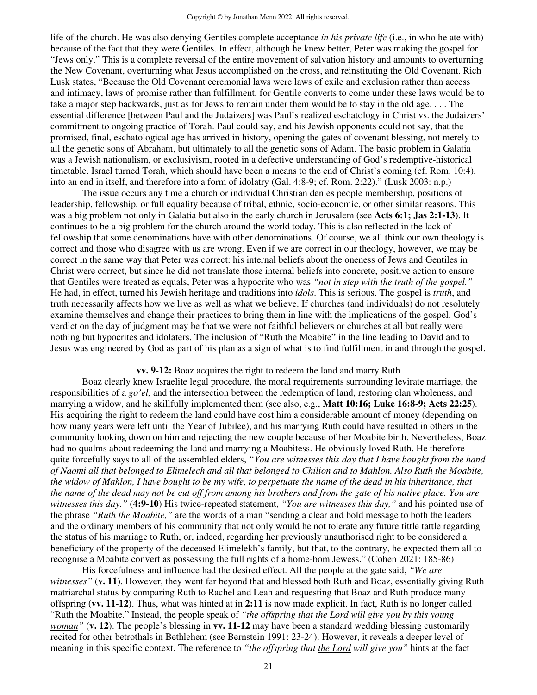life of the church. He was also denying Gentiles complete acceptance *in his private life* (i.e., in who he ate with) because of the fact that they were Gentiles. In effect, although he knew better, Peter was making the gospel for "Jews only." This is a complete reversal of the entire movement of salvation history and amounts to overturning the New Covenant, overturning what Jesus accomplished on the cross, and reinstituting the Old Covenant. Rich Lusk states, "Because the Old Covenant ceremonial laws were laws of exile and exclusion rather than access and intimacy, laws of promise rather than fulfillment, for Gentile converts to come under these laws would be to take a major step backwards, just as for Jews to remain under them would be to stay in the old age. . . . The essential difference [between Paul and the Judaizers] was Paul's realized eschatology in Christ vs. the Judaizers' commitment to ongoing practice of Torah. Paul could say, and his Jewish opponents could not say, that the promised, final, eschatological age has arrived in history, opening the gates of covenant blessing, not merely to all the genetic sons of Abraham, but ultimately to all the genetic sons of Adam. The basic problem in Galatia was a Jewish nationalism, or exclusivism, rooted in a defective understanding of God's redemptive-historical timetable. Israel turned Torah, which should have been a means to the end of Christ's coming (cf. Rom. 10:4), into an end in itself, and therefore into a form of idolatry (Gal. 4:8-9; cf. Rom. 2:22)." (Lusk 2003: n.p.)

The issue occurs any time a church or individual Christian denies people membership, positions of leadership, fellowship, or full equality because of tribal, ethnic, socio-economic, or other similar reasons. This was a big problem not only in Galatia but also in the early church in Jerusalem (see **Acts 6:1; Jas 2:1-13**). It continues to be a big problem for the church around the world today. This is also reflected in the lack of fellowship that some denominations have with other denominations. Of course, we all think our own theology is correct and those who disagree with us are wrong. Even if we are correct in our theology, however, we may be correct in the same way that Peter was correct: his internal beliefs about the oneness of Jews and Gentiles in Christ were correct, but since he did not translate those internal beliefs into concrete, positive action to ensure that Gentiles were treated as equals, Peter was a hypocrite who was *"not in step with the truth of the gospel."*  He had, in effect, turned his Jewish heritage and traditions into *idols*. This is serious. The gospel is *truth*, and truth necessarily affects how we live as well as what we believe. If churches (and individuals) do not resolutely examine themselves and change their practices to bring them in line with the implications of the gospel, God's verdict on the day of judgment may be that we were not faithful believers or churches at all but really were nothing but hypocrites and idolaters. The inclusion of "Ruth the Moabite" in the line leading to David and to Jesus was engineered by God as part of his plan as a sign of what is to find fulfillment in and through the gospel.

#### **vv. 9-12:** Boaz acquires the right to redeem the land and marry Ruth

 Boaz clearly knew Israelite legal procedure, the moral requirements surrounding levirate marriage, the responsibilities of a *go'el,* and the intersection between the redemption of land, restoring clan wholeness, and marrying a widow, and he skillfully implemented them (see also, e.g., **Matt 10:16; Luke 16:8-9; Acts 22:25**). His acquiring the right to redeem the land could have cost him a considerable amount of money (depending on how many years were left until the Year of Jubilee), and his marrying Ruth could have resulted in others in the community looking down on him and rejecting the new couple because of her Moabite birth. Nevertheless, Boaz had no qualms about redeeming the land and marrying a Moabitess. He obviously loved Ruth. He therefore quite forcefully says to all of the assembled elders, *"You are witnesses this day that I have bought from the hand of Naomi all that belonged to Elimelech and all that belonged to Chilion and to Mahlon. Also Ruth the Moabite, the widow of Mahlon, I have bought to be my wife, to perpetuate the name of the dead in his inheritance, that the name of the dead may not be cut off from among his brothers and from the gate of his native place. You are witnesses this day."* (**4:9-10**) His twice-repeated statement, *"You are witnesses this day,"* and his pointed use of the phrase *"Ruth the Moabite,"* are the words of a man "sending a clear and bold message to both the leaders and the ordinary members of his community that not only would he not tolerate any future tittle tattle regarding the status of his marriage to Ruth, or, indeed, regarding her previously unauthorised right to be considered a beneficiary of the property of the deceased Elimelekh's family, but that, to the contrary, he expected them all to recognise a Moabite convert as possessing the full rights of a home-bom Jewess." (Cohen 2021: 185-86)

 His forcefulness and influence had the desired effect. All the people at the gate said, *"We are witnesses"* (**v. 11**). However, they went far beyond that and blessed both Ruth and Boaz, essentially giving Ruth matriarchal status by comparing Ruth to Rachel and Leah and requesting that Boaz and Ruth produce many offspring (**vv. 11-12**). Thus, what was hinted at in **2:11** is now made explicit. In fact, Ruth is no longer called "Ruth the Moabite." Instead, the people speak of *"the offspring that the Lord will give you by this young woman"* (**v. 12**). The people's blessing in **vv. 11-12** may have been a standard wedding blessing customarily recited for other betrothals in Bethlehem (see Bernstein 1991: 23-24). However, it reveals a deeper level of meaning in this specific context. The reference to *"the offspring that the Lord will give you"* hints at the fact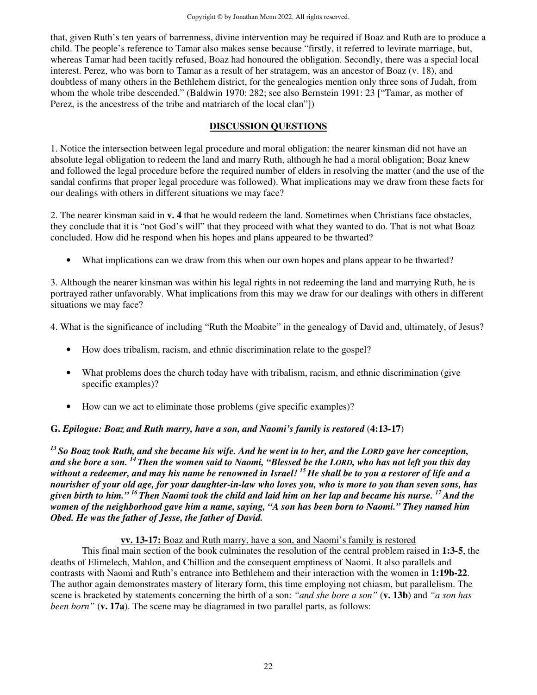that, given Ruth's ten years of barrenness, divine intervention may be required if Boaz and Ruth are to produce a child. The people's reference to Tamar also makes sense because "firstly, it referred to levirate marriage, but, whereas Tamar had been tacitly refused, Boaz had honoured the obligation. Secondly, there was a special local interest. Perez, who was born to Tamar as a result of her stratagem, was an ancestor of Boaz (v. 18), and doubtless of many others in the Bethlehem district, for the genealogies mention only three sons of Judah, from whom the whole tribe descended." (Baldwin 1970: 282; see also Bernstein 1991: 23 ["Tamar, as mother of Perez, is the ancestress of the tribe and matriarch of the local clan"])

## **DISCUSSION QUESTIONS**

1. Notice the intersection between legal procedure and moral obligation: the nearer kinsman did not have an absolute legal obligation to redeem the land and marry Ruth, although he had a moral obligation; Boaz knew and followed the legal procedure before the required number of elders in resolving the matter (and the use of the sandal confirms that proper legal procedure was followed). What implications may we draw from these facts for our dealings with others in different situations we may face?

2. The nearer kinsman said in **v. 4** that he would redeem the land. Sometimes when Christians face obstacles, they conclude that it is "not God's will" that they proceed with what they wanted to do. That is not what Boaz concluded. How did he respond when his hopes and plans appeared to be thwarted?

• What implications can we draw from this when our own hopes and plans appear to be thwarted?

3. Although the nearer kinsman was within his legal rights in not redeeming the land and marrying Ruth, he is portrayed rather unfavorably. What implications from this may we draw for our dealings with others in different situations we may face?

4. What is the significance of including "Ruth the Moabite" in the genealogy of David and, ultimately, of Jesus?

- How does tribalism, racism, and ethnic discrimination relate to the gospel?
- What problems does the church today have with tribalism, racism, and ethnic discrimination (give specific examples)?
- How can we act to eliminate those problems (give specific examples)?

# **G.** *Epilogue: Boaz and Ruth marry, have a son, and Naomi's family is restored* (**4:13-17**)

*<sup>13</sup>So Boaz took Ruth, and she became his wife. And he went in to her, and the LORD gave her conception, and she bore a son. <sup>14</sup>Then the women said to Naomi, "Blessed be the LORD, who has not left you this day without a redeemer, and may his name be renowned in Israel! <sup>15</sup>He shall be to you a restorer of life and a nourisher of your old age, for your daughter-in-law who loves you, who is more to you than seven sons, has given birth to him." <sup>16</sup>Then Naomi took the child and laid him on her lap and became his nurse. <sup>17</sup>And the women of the neighborhood gave him a name, saying, "A son has been born to Naomi." They named him Obed. He was the father of Jesse, the father of David.* 

# **vv. 13-17:** Boaz and Ruth marry, have a son, and Naomi's family is restored

 This final main section of the book culminates the resolution of the central problem raised in **1:3-5**, the deaths of Elimelech, Mahlon, and Chillion and the consequent emptiness of Naomi. It also parallels and contrasts with Naomi and Ruth's entrance into Bethlehem and their interaction with the women in **1:19b-22**. The author again demonstrates mastery of literary form, this time employing not chiasm, but parallelism. The scene is bracketed by statements concerning the birth of a son: *"and she bore a son"* (**v. 13b**) and *"a son has been born"* (**v. 17a**). The scene may be diagramed in two parallel parts, as follows: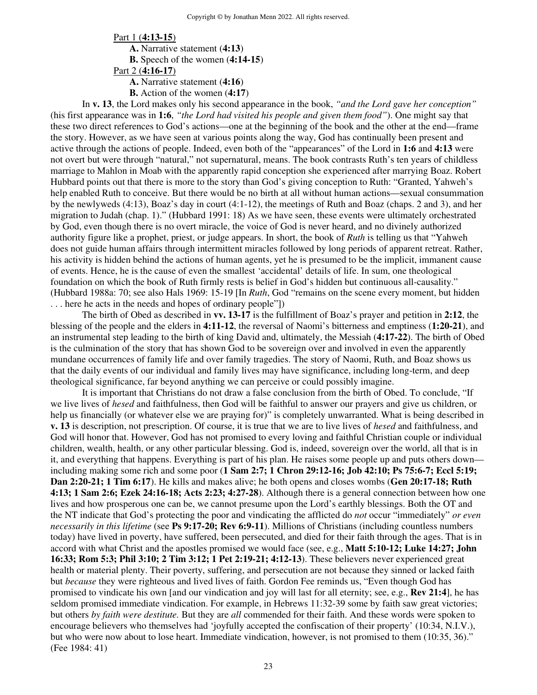Part 1 (**4:13-15**) **A.** Narrative statement (**4:13**) **B.** Speech of the women (**4:14-15**) Part 2 (**4:16-17**) **A.** Narrative statement (**4:16**) **B.** Action of the women (**4:17**)

In **v. 13**, the Lord makes only his second appearance in the book, *"and the Lord gave her conception"*  (his first appearance was in **1:6**, *"the Lord had visited his people and given them food"*). One might say that these two direct references to God's actions—one at the beginning of the book and the other at the end—frame the story. However, as we have seen at various points along the way, God has continually been present and active through the actions of people. Indeed, even both of the "appearances" of the Lord in **1:6** and **4:13** were not overt but were through "natural," not supernatural, means. The book contrasts Ruth's ten years of childless marriage to Mahlon in Moab with the apparently rapid conception she experienced after marrying Boaz. Robert Hubbard points out that there is more to the story than God's giving conception to Ruth: "Granted, Yahweh's help enabled Ruth to conceive. But there would be no birth at all without human actions—sexual consummation by the newlyweds (4:13), Boaz's day in court (4:1-12), the meetings of Ruth and Boaz (chaps. 2 and 3), and her migration to Judah (chap. 1)." (Hubbard 1991: 18) As we have seen, these events were ultimately orchestrated by God, even though there is no overt miracle, the voice of God is never heard, and no divinely authorized authority figure like a prophet, priest, or judge appears. In short, the book of *Ruth* is telling us that "Yahweh does not guide human affairs through intermittent miracles followed by long periods of apparent retreat. Rather, his activity is hidden behind the actions of human agents, yet he is presumed to be the implicit, immanent cause of events. Hence, he is the cause of even the smallest 'accidental' details of life. In sum, one theological foundation on which the book of Ruth firmly rests is belief in God's hidden but continuous all-causality." (Hubbard 1988a: 70; see also Hals 1969: 15-19 [In *Ruth*, God "remains on the scene every moment, but hidden . . . here he acts in the needs and hopes of ordinary people"])

The birth of Obed as described in **vv. 13-17** is the fulfillment of Boaz's prayer and petition in **2:12**, the blessing of the people and the elders in **4:11-12**, the reversal of Naomi's bitterness and emptiness (**1:20-21**), and an instrumental step leading to the birth of king David and, ultimately, the Messiah (**4:17-22**). The birth of Obed is the culmination of the story that has shown God to be sovereign over and involved in even the apparently mundane occurrences of family life and over family tragedies. The story of Naomi, Ruth, and Boaz shows us that the daily events of our individual and family lives may have significance, including long-term, and deep theological significance, far beyond anything we can perceive or could possibly imagine.

It is important that Christians do not draw a false conclusion from the birth of Obed. To conclude, "If we live lives of *hesed* and faithfulness, then God will be faithful to answer our prayers and give us children, or help us financially (or whatever else we are praying for)" is completely unwarranted. What is being described in **v. 13** is description, not prescription. Of course, it is true that we are to live lives of *hesed* and faithfulness, and God will honor that. However, God has not promised to every loving and faithful Christian couple or individual children, wealth, health, or any other particular blessing. God is, indeed, sovereign over the world, all that is in it, and everything that happens. Everything is part of his plan. He raises some people up and puts others down including making some rich and some poor (**1 Sam 2:7; 1 Chron 29:12-16; Job 42:10; Ps 75:6-7; Eccl 5:19; Dan 2:20-21; 1 Tim 6:17**). He kills and makes alive; he both opens and closes wombs (**Gen 20:17-18; Ruth 4:13; 1 Sam 2:6; Ezek 24:16-18; Acts 2:23; 4:27-28**). Although there is a general connection between how one lives and how prosperous one can be, we cannot presume upon the Lord's earthly blessings. Both the OT and the NT indicate that God's protecting the poor and vindicating the afflicted do *not* occur "immediately" *or even necessarily in this lifetime* (see **Ps 9:17-20; Rev 6:9-11**). Millions of Christians (including countless numbers today) have lived in poverty, have suffered, been persecuted, and died for their faith through the ages. That is in accord with what Christ and the apostles promised we would face (see, e.g., **Matt 5:10-12; Luke 14:27; John 16:33; Rom 5:3; Phil 3:10; 2 Tim 3:12; 1 Pet 2:19-21; 4:12-13**). These believers never experienced great health or material plenty. Their poverty, suffering, and persecution are not because they sinned or lacked faith but *because* they were righteous and lived lives of faith. Gordon Fee reminds us, "Even though God has promised to vindicate his own [and our vindication and joy will last for all eternity; see, e.g., **Rev 21:4**], he has seldom promised immediate vindication. For example, in Hebrews 11:32-39 some by faith saw great victories; but others *by faith were destitute.* But they are *all* commended for their faith. And these words were spoken to encourage believers who themselves had 'joyfully accepted the confiscation of their property' (10:34, N.I.V.), but who were now about to lose heart. Immediate vindication, however, is not promised to them (10:35, 36)." (Fee 1984: 41)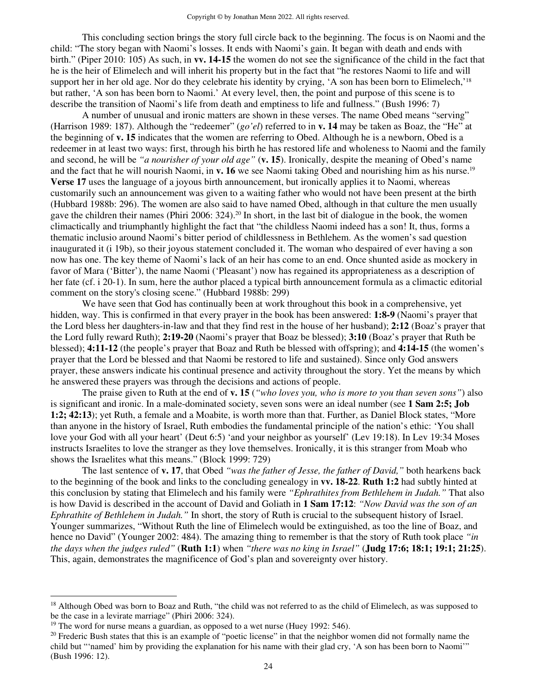This concluding section brings the story full circle back to the beginning. The focus is on Naomi and the child: "The story began with Naomi's losses. It ends with Naomi's gain. It began with death and ends with birth." (Piper 2010: 105) As such, in **vv. 14-15** the women do not see the significance of the child in the fact that he is the heir of Elimelech and will inherit his property but in the fact that "he restores Naomi to life and will support her in her old age. Nor do they celebrate his identity by crying, 'A son has been born to Elimelech,'<sup>18</sup> but rather, 'A son has been born to Naomi.' At every level, then, the point and purpose of this scene is to describe the transition of Naomi's life from death and emptiness to life and fullness." (Bush 1996: 7)

A number of unusual and ironic matters are shown in these verses. The name Obed means "serving" (Harrison 1989: 187). Although the "redeemer" (*go'el*) referred to in **v. 14** may be taken as Boaz, the "He" at the beginning of **v. 15** indicates that the women are referring to Obed. Although he is a newborn, Obed is a redeemer in at least two ways: first, through his birth he has restored life and wholeness to Naomi and the family and second, he will be *"a nourisher of your old age"* (**v. 15**). Ironically, despite the meaning of Obed's name and the fact that he will nourish Naomi, in **v. 16** we see Naomi taking Obed and nourishing him as his nurse.<sup>19</sup> **Verse 17** uses the language of a joyous birth announcement, but ironically applies it to Naomi, whereas customarily such an announcement was given to a waiting father who would not have been present at the birth (Hubbard 1988b: 296). The women are also said to have named Obed, although in that culture the men usually gave the children their names (Phiri 2006: 324).<sup>20</sup> In short, in the last bit of dialogue in the book, the women climactically and triumphantly highlight the fact that "the childless Naomi indeed has a son! It, thus, forms a thematic inclusio around Naomi's bitter period of childlessness in Bethlehem. As the women's sad question inaugurated it (i 19b), so their joyous statement concluded it. The woman who despaired of ever having a son now has one. The key theme of Naomi's lack of an heir has come to an end. Once shunted aside as mockery in favor of Mara ('Bitter'), the name Naomi ('Pleasant') now has regained its appropriateness as a description of her fate (cf. i 20-1). In sum, here the author placed a typical birth announcement formula as a climactic editorial comment on the story's closing scene." (Hubbard 1988b: 299)

We have seen that God has continually been at work throughout this book in a comprehensive, yet hidden, way. This is confirmed in that every prayer in the book has been answered: **1:8-9** (Naomi's prayer that the Lord bless her daughters-in-law and that they find rest in the house of her husband); **2:12** (Boaz's prayer that the Lord fully reward Ruth); **2:19-20** (Naomi's prayer that Boaz be blessed); **3:10** (Boaz's prayer that Ruth be blessed); **4:11-12** (the people's prayer that Boaz and Ruth be blessed with offspring); and **4:14-15** (the women's prayer that the Lord be blessed and that Naomi be restored to life and sustained). Since only God answers prayer, these answers indicate his continual presence and activity throughout the story. Yet the means by which he answered these prayers was through the decisions and actions of people.

The praise given to Ruth at the end of **v. 15** (*"who loves you, who is more to you than seven sons"*) also is significant and ironic. In a male-dominated society, seven sons were an ideal number (see **1 Sam 2:5; Job 1:2; 42:13**); yet Ruth, a female and a Moabite, is worth more than that. Further, as Daniel Block states, "More than anyone in the history of Israel, Ruth embodies the fundamental principle of the nation's ethic: 'You shall love your God with all your heart' (Deut 6:5) 'and your neighbor as yourself' (Lev 19:18). In Lev 19:34 Moses instructs Israelites to love the stranger as they love themselves. Ironically, it is this stranger from Moab who shows the Israelites what this means." (Block 1999: 729)

The last sentence of **v. 17**, that Obed *"was the father of Jesse, the father of David,"* both hearkens back to the beginning of the book and links to the concluding genealogy in **vv. 18-22**. **Ruth 1:2** had subtly hinted at this conclusion by stating that Elimelech and his family were *"Ephrathites from Bethlehem in Judah."* That also is how David is described in the account of David and Goliath in **1 Sam 17:12**: *"Now David was the son of an Ephrathite of Bethlehem in Judah."* In short, the story of Ruth is crucial to the subsequent history of Israel. Younger summarizes, "Without Ruth the line of Elimelech would be extinguished, as too the line of Boaz, and hence no David" (Younger 2002: 484). The amazing thing to remember is that the story of Ruth took place *"in the days when the judges ruled"* (**Ruth 1:1**) when *"there was no king in Israel"* (**Judg 17:6; 18:1; 19:1; 21:25**). This, again, demonstrates the magnificence of God's plan and sovereignty over history.

<sup>&</sup>lt;sup>18</sup> Although Obed was born to Boaz and Ruth, "the child was not referred to as the child of Elimelech, as was supposed to be the case in a levirate marriage" (Phiri 2006: 324).

<sup>&</sup>lt;sup>19</sup> The word for nurse means a guardian, as opposed to a wet nurse (Huey 1992: 546).

 $20$  Frederic Bush states that this is an example of "poetic license" in that the neighbor women did not formally name the child but "'named' him by providing the explanation for his name with their glad cry, 'A son has been born to Naomi'" (Bush 1996: 12).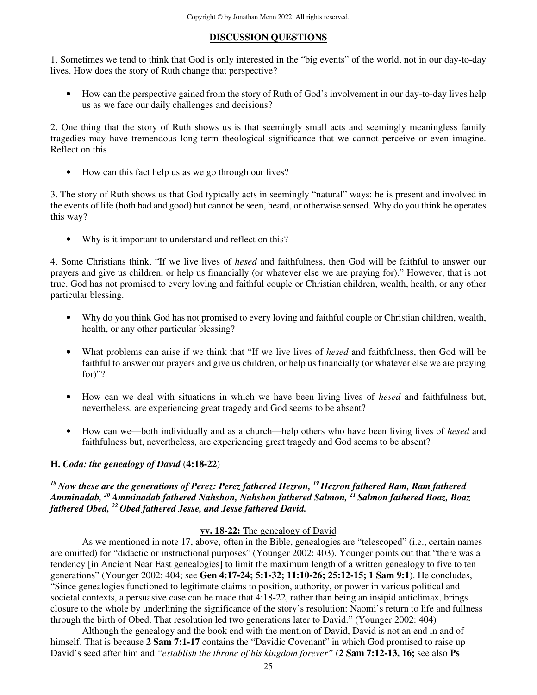## **DISCUSSION QUESTIONS**

1. Sometimes we tend to think that God is only interested in the "big events" of the world, not in our day-to-day lives. How does the story of Ruth change that perspective?

• How can the perspective gained from the story of Ruth of God's involvement in our day-to-day lives help us as we face our daily challenges and decisions?

2. One thing that the story of Ruth shows us is that seemingly small acts and seemingly meaningless family tragedies may have tremendous long-term theological significance that we cannot perceive or even imagine. Reflect on this.

• How can this fact help us as we go through our lives?

3. The story of Ruth shows us that God typically acts in seemingly "natural" ways: he is present and involved in the events of life (both bad and good) but cannot be seen, heard, or otherwise sensed. Why do you think he operates this way?

• Why is it important to understand and reflect on this?

4. Some Christians think, "If we live lives of *hesed* and faithfulness, then God will be faithful to answer our prayers and give us children, or help us financially (or whatever else we are praying for)." However, that is not true. God has not promised to every loving and faithful couple or Christian children, wealth, health, or any other particular blessing.

- Why do you think God has not promised to every loving and faithful couple or Christian children, wealth, health, or any other particular blessing?
- What problems can arise if we think that "If we live lives of *hesed* and faithfulness, then God will be faithful to answer our prayers and give us children, or help us financially (or whatever else we are praying for)"?
- How can we deal with situations in which we have been living lives of *hesed* and faithfulness but, nevertheless, are experiencing great tragedy and God seems to be absent?
- How can we—both individually and as a church—help others who have been living lives of *hesed* and faithfulness but, nevertheless, are experiencing great tragedy and God seems to be absent?

## **H.** *Coda: the genealogy of David* (**4:18-22**)

## *<sup>18</sup>Now these are the generations of Perez: Perez fathered Hezron, <sup>19</sup>Hezron fathered Ram, Ram fathered Amminadab, <sup>20</sup>Amminadab fathered Nahshon, Nahshon fathered Salmon, <sup>21</sup>Salmon fathered Boaz, Boaz fathered Obed, <sup>22</sup>Obed fathered Jesse, and Jesse fathered David.*

## **vv. 18-22:** The genealogy of David

 As we mentioned in note 17, above, often in the Bible, genealogies are "telescoped" (i.e., certain names are omitted) for "didactic or instructional purposes" (Younger 2002: 403). Younger points out that "there was a tendency [in Ancient Near East genealogies] to limit the maximum length of a written genealogy to five to ten generations" (Younger 2002: 404; see **Gen 4:17-24; 5:1-32; 11:10-26; 25:12-15; 1 Sam 9:1**). He concludes, "Since genealogies functioned to legitimate claims to position, authority, or power in various political and societal contexts, a persuasive case can be made that 4:18-22, rather than being an insipid anticlimax, brings closure to the whole by underlining the significance of the story's resolution: Naomi's return to life and fullness through the birth of Obed. That resolution led two generations later to David." (Younger 2002: 404)

 Although the genealogy and the book end with the mention of David, David is not an end in and of himself. That is because **2 Sam 7:1-17** contains the "Davidic Covenant" in which God promised to raise up David's seed after him and *"establish the throne of his kingdom forever"* (**2 Sam 7:12-13, 16;** see also **Ps**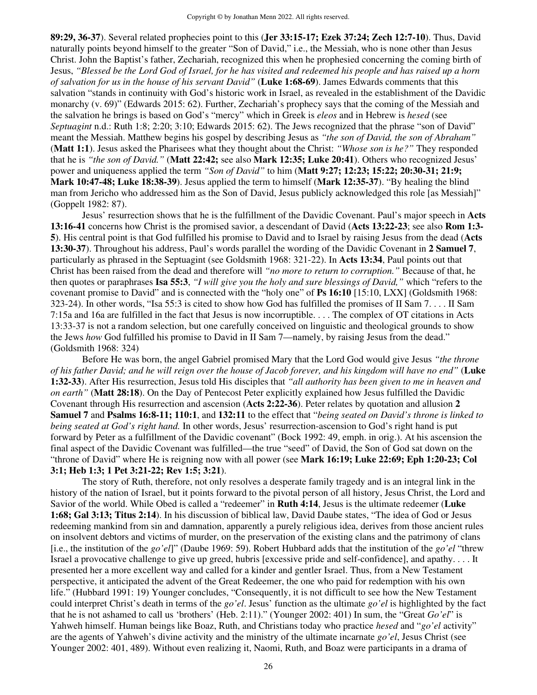**89:29, 36-37**). Several related prophecies point to this (**Jer 33:15-17; Ezek 37:24; Zech 12:7-10**). Thus, David naturally points beyond himself to the greater "Son of David," i.e., the Messiah, who is none other than Jesus Christ. John the Baptist's father, Zechariah, recognized this when he prophesied concerning the coming birth of Jesus, *"Blessed be the Lord God of Israel, for he has visited and redeemed his people and has raised up a horn of salvation for us in the house of his servant David"* (**Luke 1:68-69**). James Edwards comments that this salvation "stands in continuity with God's historic work in Israel, as revealed in the establishment of the Davidic monarchy (v. 69)" (Edwards 2015: 62). Further, Zechariah's prophecy says that the coming of the Messiah and the salvation he brings is based on God's "mercy" which in Greek is *eleos* and in Hebrew is *hesed* (see *Septuagint* n.d.: Ruth 1:8; 2:20; 3:10; Edwards 2015: 62). The Jews recognized that the phrase "son of David" meant the Messiah. Matthew begins his gospel by describing Jesus as *"the son of David, the son of Abraham"*  (**Matt 1:1**). Jesus asked the Pharisees what they thought about the Christ: *"Whose son is he?"* They responded that he is *"the son of David."* (**Matt 22:42;** see also **Mark 12:35; Luke 20:41**). Others who recognized Jesus' power and uniqueness applied the term *"Son of David"* to him (**Matt 9:27; 12:23; 15:22; 20:30-31; 21:9; Mark 10:47-48; Luke 18:38-39**). Jesus applied the term to himself (**Mark 12:35-37**). "By healing the blind man from Jericho who addressed him as the Son of David, Jesus publicly acknowledged this role [as Messiah]" (Goppelt 1982: 87).

 Jesus' resurrection shows that he is the fulfillment of the Davidic Covenant. Paul's major speech in **Acts 13:16-41** concerns how Christ is the promised savior, a descendant of David (**Acts 13:22-23**; see also **Rom 1:3- 5**). His central point is that God fulfilled his promise to David and to Israel by raising Jesus from the dead (**Acts 13:30-37**). Throughout his address, Paul's words parallel the wording of the Davidic Covenant in **2 Samuel 7**, particularly as phrased in the Septuagint (see Goldsmith 1968: 321-22). In **Acts 13:34**, Paul points out that Christ has been raised from the dead and therefore will *"no more to return to corruption."* Because of that, he then quotes or paraphrases **Isa 55:3**, *"I will give you the holy and sure blessings of David,"* which "refers to the covenant promise to David" and is connected with the "holy one" of **Ps 16:10** [15:10, LXX] (Goldsmith 1968: 323-24). In other words, "Isa 55:3 is cited to show how God has fulfilled the promises of II Sam 7. . . . II Sam 7:15a and 16a are fulfilled in the fact that Jesus is now incorruptible. . . . The complex of OT citations in Acts 13:33-37 is not a random selection, but one carefully conceived on linguistic and theological grounds to show the Jews *how* God fulfilled his promise to David in II Sam 7—namely, by raising Jesus from the dead." (Goldsmith 1968: 324)

Before He was born, the angel Gabriel promised Mary that the Lord God would give Jesus *"the throne of his father David; and he will reign over the house of Jacob forever, and his kingdom will have no end"* (**Luke 1:32-33**). After His resurrection, Jesus told His disciples that *"all authority has been given to me in heaven and on earth"* (**Matt 28:18**). On the Day of Pentecost Peter explicitly explained how Jesus fulfilled the Davidic Covenant through His resurrection and ascension (**Acts 2:22-36**). Peter relates by quotation and allusion **2 Samuel 7** and **Psalms 16:8-11; 110:1**, and **132:11** to the effect that "*being seated on David's throne is linked to being seated at God's right hand.* In other words, Jesus' resurrection-ascension to God's right hand is put forward by Peter as a fulfillment of the Davidic covenant" (Bock 1992: 49, emph. in orig.). At his ascension the final aspect of the Davidic Covenant was fulfilled—the true "seed" of David, the Son of God sat down on the "throne of David" where He is reigning now with all power (see **Mark 16:19; Luke 22:69; Eph 1:20-23; Col 3:1; Heb 1:3; 1 Pet 3:21-22; Rev 1:5; 3:21**).

 The story of Ruth, therefore, not only resolves a desperate family tragedy and is an integral link in the history of the nation of Israel, but it points forward to the pivotal person of all history, Jesus Christ, the Lord and Savior of the world. While Obed is called a "redeemer" in **Ruth 4:14**, Jesus is the ultimate redeemer (**Luke 1:68; Gal 3:13; Titus 2:14**). In his discussion of biblical law, David Daube states, "The idea of God or Jesus redeeming mankind from sin and damnation, apparently a purely religious idea, derives from those ancient rules on insolvent debtors and victims of murder, on the preservation of the existing clans and the patrimony of clans [i.e., the institution of the *go'el*]" (Daube 1969: 59). Robert Hubbard adds that the institution of the *go'el* "threw Israel a provocative challenge to give up greed, hubris [excessive pride and self-confidence], and apathy. . . . It presented her a more excellent way and called for a kinder and gentler Israel. Thus, from a New Testament perspective, it anticipated the advent of the Great Redeemer, the one who paid for redemption with his own life." (Hubbard 1991: 19) Younger concludes, "Consequently, it is not difficult to see how the New Testament could interpret Christ's death in terms of the *go'el*. Jesus' function as the ultimate *go'el* is highlighted by the fact that he is not ashamed to call us 'brothers' (Heb. 2:11)." (Younger 2002: 401) In sum, the "Great *Go'el*" is Yahweh himself. Human beings like Boaz, Ruth, and Christians today who practice *hesed* and "*go'el* activity" are the agents of Yahweh's divine activity and the ministry of the ultimate incarnate *go'el*, Jesus Christ (see Younger 2002: 401, 489). Without even realizing it, Naomi, Ruth, and Boaz were participants in a drama of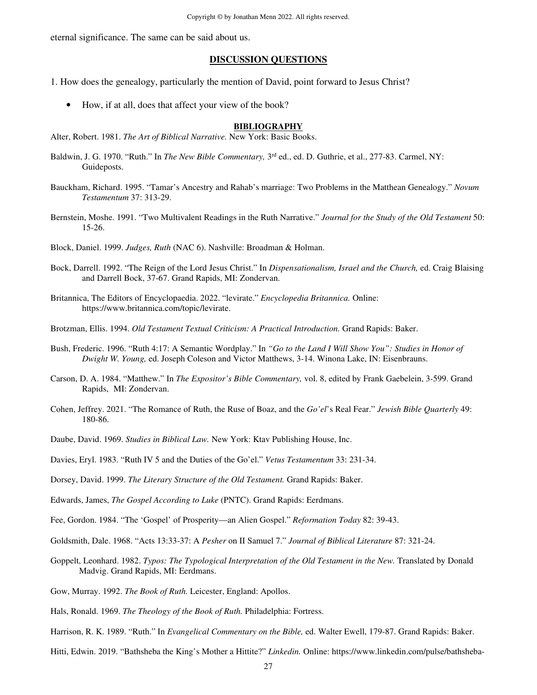eternal significance. The same can be said about us.

#### **DISCUSSION QUESTIONS**

1. How does the genealogy, particularly the mention of David, point forward to Jesus Christ?

• How, if at all, does that affect your view of the book?

#### **BIBLIOGRAPHY**

Alter, Robert. 1981. *The Art of Biblical Narrative.* New York: Basic Books.

- Baldwin, J. G. 1970. "Ruth." In *The New Bible Commentary*, 3<sup>rd</sup> ed., ed. D. Guthrie, et al., 277-83. Carmel, NY: Guideposts.
- Bauckham, Richard. 1995. "Tamar's Ancestry and Rahab's marriage: Two Problems in the Matthean Genealogy." *Novum Testamentum* 37: 313-29.
- Bernstein, Moshe. 1991. "Two Multivalent Readings in the Ruth Narrative." *Journal for the Study of the Old Testament* 50: 15-26.
- Block, Daniel. 1999. *Judges, Ruth* (NAC 6). Nashville: Broadman & Holman.
- Bock, Darrell. 1992. "The Reign of the Lord Jesus Christ." In *Dispensationalism, Israel and the Church,* ed. Craig Blaising and Darrell Bock, 37-67. Grand Rapids, MI: Zondervan.
- Britannica, The Editors of Encyclopaedia. 2022. "levirate." *Encyclopedia Britannica.* Online: https://www.britannica.com/topic/levirate.
- Brotzman, Ellis. 1994. *Old Testament Textual Criticism: A Practical Introduction.* Grand Rapids: Baker.
- Bush, Frederic. 1996. "Ruth 4:17: A Semantic Wordplay." In *"Go to the Land I Will Show You": Studies in Honor of Dwight W. Young,* ed. Joseph Coleson and Victor Matthews, 3-14. Winona Lake, IN: Eisenbrauns.
- Carson, D. A. 1984. "Matthew." In *The Expositor's Bible Commentary,* vol. 8, edited by Frank Gaebelein, 3-599. Grand Rapids, MI: Zondervan.
- Cohen, Jeffrey. 2021. "The Romance of Ruth, the Ruse of Boaz, and the *Go'el*'s Real Fear." *Jewish Bible Quarterly* 49: 180-86.
- Daube, David. 1969. *Studies in Biblical Law.* New York: Ktav Publishing House, Inc.
- Davies, Eryl. 1983. "Ruth IV 5 and the Duties of the Go'el." *Vetus Testamentum* 33: 231-34.
- Dorsey, David. 1999. *The Literary Structure of the Old Testament.* Grand Rapids: Baker.
- Edwards, James, *The Gospel According to Luke* (PNTC). Grand Rapids: Eerdmans.
- Fee, Gordon. 1984. "The 'Gospel' of Prosperity—an Alien Gospel." *Reformation Today* 82: 39-43.
- Goldsmith, Dale. 1968. "Acts 13:33-37: A *Pesher* on II Samuel 7." *Journal of Biblical Literature* 87: 321-24.
- Goppelt, Leonhard. 1982. *Typos: The Typological Interpretation of the Old Testament in the New.* Translated by Donald Madvig. Grand Rapids, MI: Eerdmans.
- Gow, Murray. 1992. *The Book of Ruth.* Leicester, England: Apollos.
- Hals, Ronald. 1969. *The Theology of the Book of Ruth.* Philadelphia: Fortress.
- Harrison, R. K. 1989. "Ruth." In *Evangelical Commentary on the Bible,* ed. Walter Ewell, 179-87. Grand Rapids: Baker.
- Hitti, Edwin. 2019. "Bathsheba the King's Mother a Hittite?" *Linkedin.* Online: https://www.linkedin.com/pulse/bathsheba-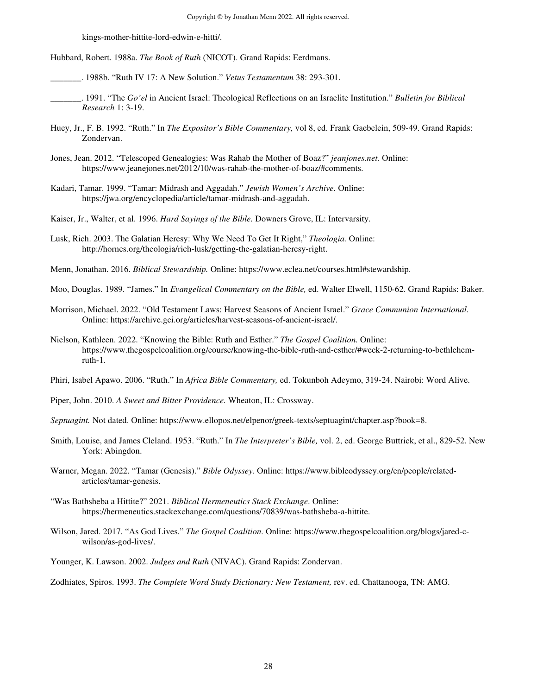kings-mother-hittite-lord-edwin-e-hitti/.

Hubbard, Robert. 1988a. *The Book of Ruth* (NICOT). Grand Rapids: Eerdmans.

\_\_\_\_\_\_\_. 1988b. "Ruth IV 17: A New Solution." *Vetus Testamentum* 38: 293-301.

- \_\_\_\_\_\_\_. 1991. "The *Go'el* in Ancient Israel: Theological Reflections on an Israelite Institution." *Bulletin for Biblical Research* 1: 3-19.
- Huey, Jr., F. B. 1992. "Ruth." In *The Expositor's Bible Commentary,* vol 8, ed. Frank Gaebelein, 509-49. Grand Rapids: Zondervan.
- Jones, Jean. 2012. "Telescoped Genealogies: Was Rahab the Mother of Boaz?" *jeanjones.net.* Online: https://www.jeanejones.net/2012/10/was-rahab-the-mother-of-boaz/#comments.
- Kadari, Tamar. 1999. "Tamar: Midrash and Aggadah." *Jewish Women's Archive.* Online: https://jwa.org/encyclopedia/article/tamar-midrash-and-aggadah.
- Kaiser, Jr., Walter, et al. 1996. *Hard Sayings of the Bible.* Downers Grove, IL: Intervarsity.
- Lusk, Rich. 2003. The Galatian Heresy: Why We Need To Get It Right," *Theologia.* Online: http://hornes.org/theologia/rich-lusk/getting-the-galatian-heresy-right.
- Menn, Jonathan. 2016. *Biblical Stewardship.* Online: https://www.eclea.net/courses.html#stewardship.
- Moo, Douglas. 1989. "James." In *Evangelical Commentary on the Bible,* ed. Walter Elwell, 1150-62. Grand Rapids: Baker.
- Morrison, Michael. 2022. "Old Testament Laws: Harvest Seasons of Ancient Israel." *Grace Communion International.*  Online: https://archive.gci.org/articles/harvest-seasons-of-ancient-israel/.
- Nielson, Kathleen. 2022. "Knowing the Bible: Ruth and Esther." *The Gospel Coalition.* Online: https://www.thegospelcoalition.org/course/knowing-the-bible-ruth-and-esther/#week-2-returning-to-bethlehemruth-1.

Phiri, Isabel Apawo. 2006. "Ruth." In *Africa Bible Commentary,* ed. Tokunboh Adeymo, 319-24. Nairobi: Word Alive.

- Piper, John. 2010. *A Sweet and Bitter Providence.* Wheaton, IL: Crossway.
- *Septuagint.* Not dated. Online: https://www.ellopos.net/elpenor/greek-texts/septuagint/chapter.asp?book=8.
- Smith, Louise, and James Cleland. 1953. "Ruth." In *The Interpreter's Bible,* vol. 2, ed. George Buttrick, et al., 829-52. New York: Abingdon.
- Warner, Megan. 2022. "Tamar (Genesis)." *Bible Odyssey.* Online: https://www.bibleodyssey.org/en/people/relatedarticles/tamar-genesis.
- "Was Bathsheba a Hittite?" 2021. *Biblical Hermeneutics Stack Exchange*. Online: https://hermeneutics.stackexchange.com/questions/70839/was-bathsheba-a-hittite.
- Wilson, Jared. 2017. "As God Lives." *The Gospel Coalition.* Online: https://www.thegospelcoalition.org/blogs/jared-cwilson/as-god-lives/.
- Younger, K. Lawson. 2002. *Judges and Ruth* (NIVAC). Grand Rapids: Zondervan.

Zodhiates, Spiros. 1993. *The Complete Word Study Dictionary: New Testament,* rev. ed. Chattanooga, TN: AMG.